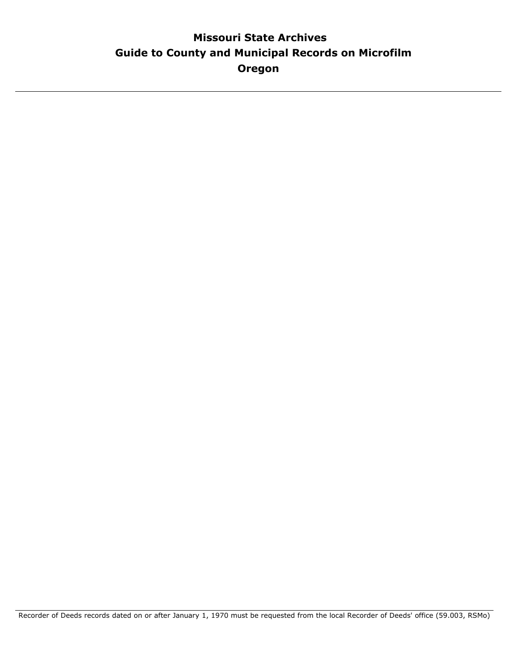# **Guide to County and Municipal Records on Microfilm Missouri State Archives Oregon**

Recorder of Deeds records dated on or after January 1, 1970 must be requested from the local Recorder of Deeds' office (59.003, RSMo)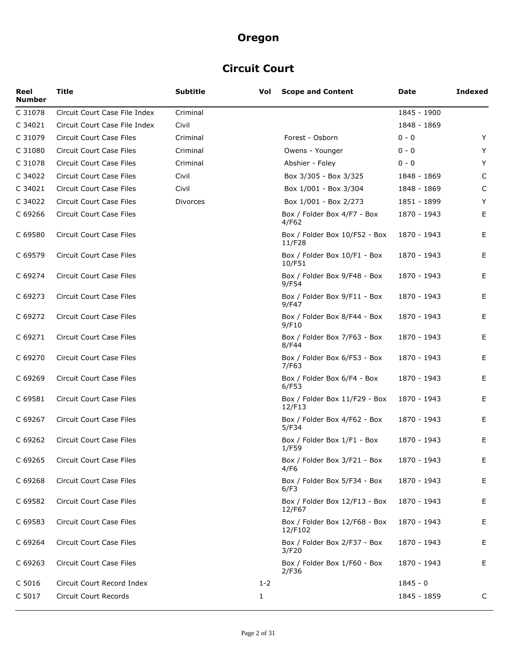# **Circuit Court**

| Reel<br><b>Number</b> | <b>Title</b>                  | <b>Subtitle</b> | Vol     | <b>Scope and Content</b>                 | Date        | <b>Indexed</b> |
|-----------------------|-------------------------------|-----------------|---------|------------------------------------------|-------------|----------------|
| C 31078               | Circuit Court Case File Index | Criminal        |         |                                          | 1845 - 1900 |                |
| C 34021               | Circuit Court Case File Index | Civil           |         |                                          | 1848 - 1869 |                |
| C 31079               | Circuit Court Case Files      | Criminal        |         | Forest - Osborn                          | $0 - 0$     | Y              |
| C 31080               | Circuit Court Case Files      | Criminal        |         | Owens - Younger                          | 0 - 0       | Y              |
| C 31078               | Circuit Court Case Files      | Criminal        |         | Abshier - Foley                          | 0 - 0       | Y              |
| C 34022               | Circuit Court Case Files      | Civil           |         | Box 3/305 - Box 3/325                    | 1848 - 1869 | C              |
| C 34021               | Circuit Court Case Files      | Civil           |         | Box 1/001 - Box 3/304                    | 1848 - 1869 | C              |
| C 34022               | Circuit Court Case Files      | <b>Divorces</b> |         | Box 1/001 - Box 2/273                    | 1851 - 1899 | Y              |
| C 69266               | Circuit Court Case Files      |                 |         | Box / Folder Box 4/F7 - Box<br>4/F62     | 1870 - 1943 | Е              |
| C 69580               | Circuit Court Case Files      |                 |         | Box / Folder Box 10/F52 - Box<br>11/F28  | 1870 - 1943 | Е              |
| C 69579               | Circuit Court Case Files      |                 |         | Box / Folder Box 10/F1 - Box<br>10/F51   | 1870 - 1943 | E              |
| C 69274               | Circuit Court Case Files      |                 |         | Box / Folder Box 9/F48 - Box<br>9/F54    | 1870 - 1943 | E              |
| C 69273               | Circuit Court Case Files      |                 |         | Box / Folder Box 9/F11 - Box<br>9/F47    | 1870 - 1943 | E              |
| C 69272               | Circuit Court Case Files      |                 |         | Box / Folder Box 8/F44 - Box<br>9/F10    | 1870 - 1943 | E              |
| C 69271               | Circuit Court Case Files      |                 |         | Box / Folder Box 7/F63 - Box<br>8/F44    | 1870 - 1943 | Е              |
| C 69270               | Circuit Court Case Files      |                 |         | Box / Folder Box 6/F53 - Box<br>7/F63    | 1870 - 1943 | E              |
| C 69269               | Circuit Court Case Files      |                 |         | Box / Folder Box 6/F4 - Box<br>6/F53     | 1870 - 1943 | E              |
| C 69581               | Circuit Court Case Files      |                 |         | Box / Folder Box 11/F29 - Box<br>12/F13  | 1870 - 1943 | E              |
| C 69267               | Circuit Court Case Files      |                 |         | Box / Folder Box 4/F62 - Box<br>5/F34    | 1870 - 1943 | E              |
| C 69262               | Circuit Court Case Files      |                 |         | Box / Folder Box 1/F1 - Box<br>1/F59     | 1870 - 1943 | Е              |
| C 69265               | Circuit Court Case Files      |                 |         | Box / Folder Box 3/F21 - Box<br>4/F6     | 1870 - 1943 | Е              |
| C 69268               | Circuit Court Case Files      |                 |         | Box / Folder Box 5/F34 - Box<br>6/F3     | 1870 - 1943 | Е              |
| C 69582               | Circuit Court Case Files      |                 |         | Box / Folder Box 12/F13 - Box<br>12/F67  | 1870 - 1943 | E.             |
| C 69583               | Circuit Court Case Files      |                 |         | Box / Folder Box 12/F68 - Box<br>12/F102 | 1870 - 1943 | Е              |
| C 69264               | Circuit Court Case Files      |                 |         | Box / Folder Box 2/F37 - Box<br>3/F20    | 1870 - 1943 | Е              |
| C 69263               | Circuit Court Case Files      |                 |         | Box / Folder Box 1/F60 - Box<br>2/F36    | 1870 - 1943 | E              |
| C 5016                | Circuit Court Record Index    |                 | $1 - 2$ |                                          | $1845 - 0$  |                |
| C 5017                | Circuit Court Records         |                 | 1       |                                          | 1845 - 1859 | C              |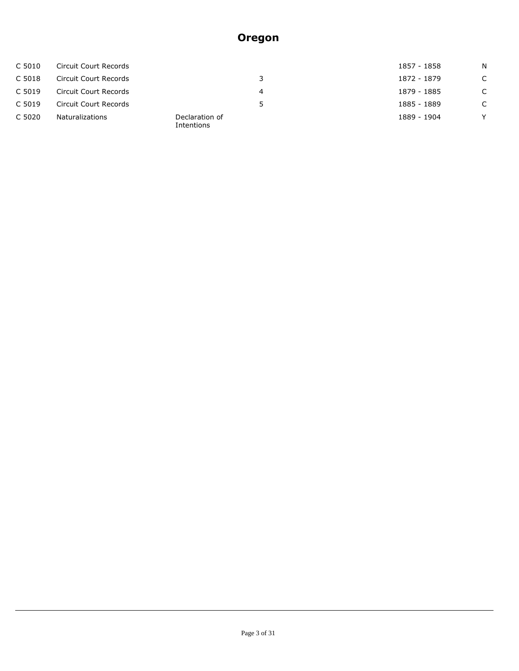| C 5010 | Circuit Court Records |                              |    | 1857 - 1858 | N.     |
|--------|-----------------------|------------------------------|----|-------------|--------|
| C 5018 | Circuit Court Records |                              | 3. | 1872 - 1879 | C      |
| C 5019 | Circuit Court Records |                              | 4  | 1879 - 1885 | C      |
| C 5019 | Circuit Court Records |                              | 5. | 1885 - 1889 | C      |
| C 5020 | Naturalizations       | Declaration of<br>Intentions |    | 1889 - 1904 | $\vee$ |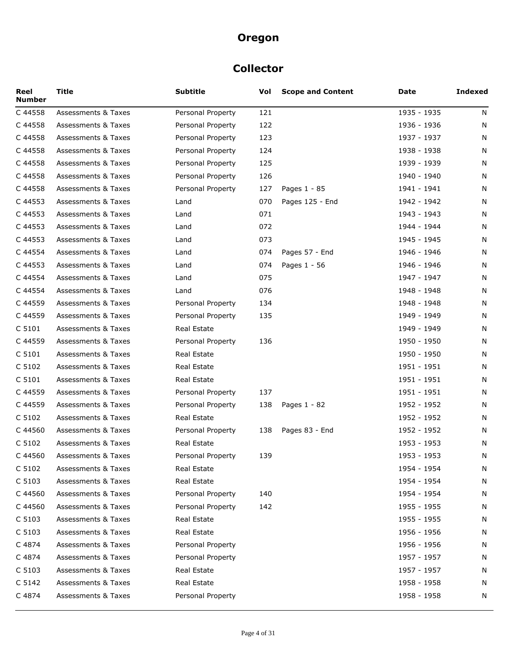### **Collector**

| Reel<br><b>Number</b> | Title                          | Subtitle           | Vol | <b>Scope and Content</b> | Date        | <b>Indexed</b> |
|-----------------------|--------------------------------|--------------------|-----|--------------------------|-------------|----------------|
| C 44558               | <b>Assessments &amp; Taxes</b> | Personal Property  | 121 |                          | 1935 - 1935 | N              |
| C 44558               | Assessments & Taxes            | Personal Property  | 122 |                          | 1936 - 1936 | N              |
| C 44558               | <b>Assessments &amp; Taxes</b> | Personal Property  | 123 |                          | 1937 - 1937 | N              |
| C 44558               | Assessments & Taxes            | Personal Property  | 124 |                          | 1938 - 1938 | N              |
| C 44558               | <b>Assessments &amp; Taxes</b> | Personal Property  | 125 |                          | 1939 - 1939 | N              |
| C 44558               | Assessments & Taxes            | Personal Property  | 126 |                          | 1940 - 1940 | N              |
| C 44558               | <b>Assessments &amp; Taxes</b> | Personal Property  | 127 | Pages 1 - 85             | 1941 - 1941 | N              |
| C 44553               | Assessments & Taxes            | Land               | 070 | Pages 125 - End          | 1942 - 1942 | N              |
| C 44553               | <b>Assessments &amp; Taxes</b> | Land               | 071 |                          | 1943 - 1943 | N              |
| C 44553               | Assessments & Taxes            | Land               | 072 |                          | 1944 - 1944 | N              |
| C 44553               | <b>Assessments &amp; Taxes</b> | Land               | 073 |                          | 1945 - 1945 | N              |
| C 44554               | Assessments & Taxes            | Land               | 074 | Pages 57 - End           | 1946 - 1946 | N              |
| C 44553               | <b>Assessments &amp; Taxes</b> | Land               | 074 | Pages 1 - 56             | 1946 - 1946 | N              |
| C 44554               | Assessments & Taxes            | Land               | 075 |                          | 1947 - 1947 | N              |
| C 44554               | Assessments & Taxes            | Land               | 076 |                          | 1948 - 1948 | N              |
| C 44559               | Assessments & Taxes            | Personal Property  | 134 |                          | 1948 - 1948 | N              |
| C 44559               | Assessments & Taxes            | Personal Property  | 135 |                          | 1949 - 1949 | N              |
| C 5101                | <b>Assessments &amp; Taxes</b> | Real Estate        |     |                          | 1949 - 1949 | N              |
| C 44559               | Assessments & Taxes            | Personal Property  | 136 |                          | 1950 - 1950 | N              |
| C 5101                | Assessments & Taxes            | Real Estate        |     |                          | 1950 - 1950 | N              |
| C 5102                | <b>Assessments &amp; Taxes</b> | <b>Real Estate</b> |     |                          | 1951 - 1951 | N              |
| C 5101                | <b>Assessments &amp; Taxes</b> | Real Estate        |     |                          | 1951 - 1951 | N              |
| C 44559               | <b>Assessments &amp; Taxes</b> | Personal Property  | 137 |                          | 1951 - 1951 | N              |
| C44559                | Assessments & Taxes            | Personal Property  | 138 | Pages 1 - 82             | 1952 - 1952 | N              |
| C 5102                | <b>Assessments &amp; Taxes</b> | <b>Real Estate</b> |     |                          | 1952 - 1952 | N              |
| C 44560               | Assessments & Taxes            | Personal Property  | 138 | Pages 83 - End           | 1952 - 1952 | N              |
| C 5102                | Assessments & Taxes            | <b>Real Estate</b> |     |                          | 1953 - 1953 | N              |
| C 44560               | <b>Assessments &amp; Taxes</b> | Personal Property  | 139 |                          | 1953 - 1953 | N              |
| C 5102                | Assessments & Taxes            | Real Estate        |     |                          | 1954 - 1954 | N              |
| C 5103                | <b>Assessments &amp; Taxes</b> | Real Estate        |     |                          | 1954 - 1954 | N              |
| C 44560               | Assessments & Taxes            | Personal Property  | 140 |                          | 1954 - 1954 | N              |
| C 44560               | Assessments & Taxes            | Personal Property  | 142 |                          | 1955 - 1955 | N              |
| C 5103                | <b>Assessments &amp; Taxes</b> | Real Estate        |     |                          | 1955 - 1955 | N              |
| C 5103                | Assessments & Taxes            | Real Estate        |     |                          | 1956 - 1956 | N              |
| C 4874                | <b>Assessments &amp; Taxes</b> | Personal Property  |     |                          | 1956 - 1956 | N              |
| C 4874                | Assessments & Taxes            | Personal Property  |     |                          | 1957 - 1957 | N              |
| C 5103                | <b>Assessments &amp; Taxes</b> | Real Estate        |     |                          | 1957 - 1957 | N              |
| C 5142                | Assessments & Taxes            | Real Estate        |     |                          | 1958 - 1958 | N              |
| C 4874                | Assessments & Taxes            | Personal Property  |     |                          | 1958 - 1958 | N              |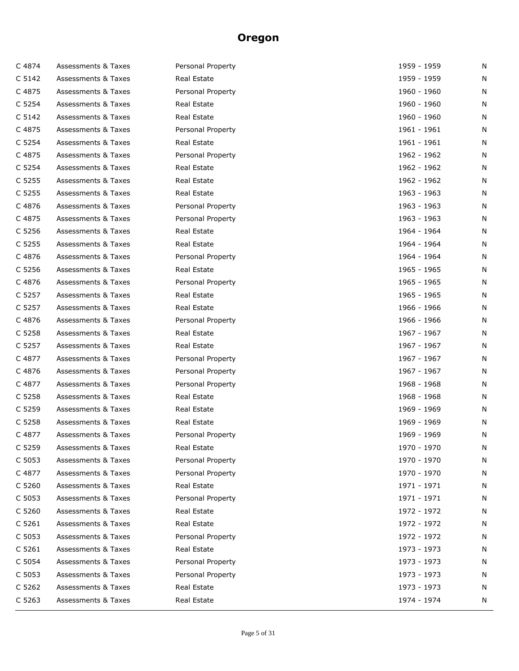| C 4874 | Assessments & Taxes            | Personal Property | 1959 - 1959 | N |
|--------|--------------------------------|-------------------|-------------|---|
| C 5142 | <b>Assessments &amp; Taxes</b> | Real Estate       | 1959 - 1959 | N |
| C 4875 | <b>Assessments &amp; Taxes</b> | Personal Property | 1960 - 1960 | N |
| C 5254 | <b>Assessments &amp; Taxes</b> | Real Estate       | 1960 - 1960 | N |
| C 5142 | Assessments & Taxes            | Real Estate       | 1960 - 1960 | N |
| C 4875 | Assessments & Taxes            | Personal Property | 1961 - 1961 | N |
| C 5254 | <b>Assessments &amp; Taxes</b> | Real Estate       | 1961 - 1961 | N |
| C 4875 | <b>Assessments &amp; Taxes</b> | Personal Property | 1962 - 1962 | N |
| C 5254 | Assessments & Taxes            | Real Estate       | 1962 - 1962 | N |
| C 5255 | Assessments & Taxes            | Real Estate       | 1962 - 1962 | N |
| C 5255 | <b>Assessments &amp; Taxes</b> | Real Estate       | 1963 - 1963 | N |
| C 4876 | Assessments & Taxes            | Personal Property | 1963 - 1963 | N |
| C 4875 | Assessments & Taxes            | Personal Property | 1963 - 1963 | N |
| C 5256 | Assessments & Taxes            | Real Estate       | 1964 - 1964 | N |
| C 5255 | <b>Assessments &amp; Taxes</b> | Real Estate       | 1964 - 1964 | N |
| C 4876 | Assessments & Taxes            | Personal Property | 1964 - 1964 | N |
| C 5256 | <b>Assessments &amp; Taxes</b> | Real Estate       | 1965 - 1965 | N |
| C 4876 | Assessments & Taxes            | Personal Property | 1965 - 1965 | N |
| C 5257 | <b>Assessments &amp; Taxes</b> | Real Estate       | 1965 - 1965 | N |
| C 5257 | Assessments & Taxes            | Real Estate       | 1966 - 1966 | N |
| C 4876 | <b>Assessments &amp; Taxes</b> | Personal Property | 1966 - 1966 | N |
| C 5258 | Assessments & Taxes            | Real Estate       | 1967 - 1967 | N |
| C 5257 | <b>Assessments &amp; Taxes</b> | Real Estate       | 1967 - 1967 | N |
| C 4877 | Assessments & Taxes            | Personal Property | 1967 - 1967 | N |
| C 4876 | <b>Assessments &amp; Taxes</b> | Personal Property | 1967 - 1967 | N |
| C 4877 | Assessments & Taxes            | Personal Property | 1968 - 1968 | N |
| C 5258 | <b>Assessments &amp; Taxes</b> | Real Estate       | 1968 - 1968 | N |
| C 5259 | Assessments & Taxes            | Real Estate       | 1969 - 1969 | N |
| C 5258 | <b>Assessments &amp; Taxes</b> | Real Estate       | 1969 - 1969 | N |
| C 4877 | <b>Assessments &amp; Taxes</b> | Personal Property | 1969 - 1969 | N |
| C 5259 | <b>Assessments &amp; Taxes</b> | Real Estate       | 1970 - 1970 | N |
| C 5053 | <b>Assessments &amp; Taxes</b> | Personal Property | 1970 - 1970 | N |
| C 4877 | <b>Assessments &amp; Taxes</b> | Personal Property | 1970 - 1970 | N |
| C 5260 | <b>Assessments &amp; Taxes</b> | Real Estate       | 1971 - 1971 | N |
| C 5053 | <b>Assessments &amp; Taxes</b> | Personal Property | 1971 - 1971 | N |
| C 5260 | <b>Assessments &amp; Taxes</b> | Real Estate       | 1972 - 1972 | N |
| C 5261 | <b>Assessments &amp; Taxes</b> | Real Estate       | 1972 - 1972 | N |
| C 5053 | <b>Assessments &amp; Taxes</b> | Personal Property | 1972 - 1972 | N |
| C 5261 | <b>Assessments &amp; Taxes</b> | Real Estate       | 1973 - 1973 | N |
| C 5054 | <b>Assessments &amp; Taxes</b> | Personal Property | 1973 - 1973 | N |
| C 5053 | <b>Assessments &amp; Taxes</b> | Personal Property | 1973 - 1973 | N |
| C 5262 | <b>Assessments &amp; Taxes</b> | Real Estate       | 1973 - 1973 | N |
| C 5263 | Assessments & Taxes            | Real Estate       | 1974 - 1974 | N |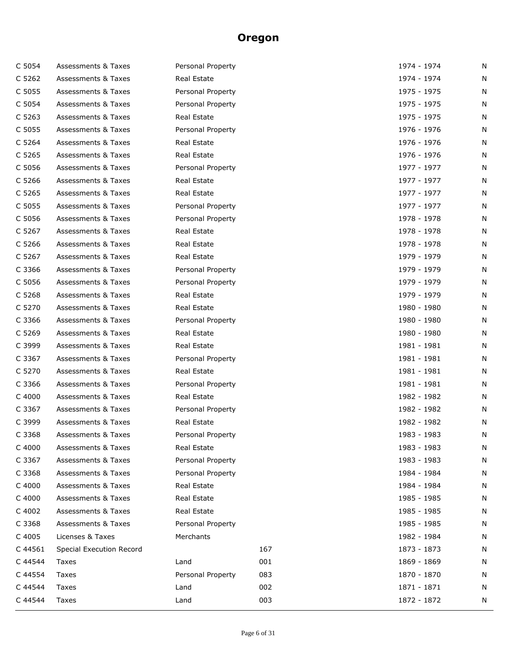| C 5054  | Assessments & Taxes            | Personal Property |     | 1974 - 1974 | N |
|---------|--------------------------------|-------------------|-----|-------------|---|
| C 5262  | Assessments & Taxes            | Real Estate       |     | 1974 - 1974 | N |
| C 5055  | <b>Assessments &amp; Taxes</b> | Personal Property |     | 1975 - 1975 | N |
| C 5054  | Assessments & Taxes            | Personal Property |     | 1975 - 1975 | N |
| C 5263  | <b>Assessments &amp; Taxes</b> | Real Estate       |     | 1975 - 1975 | N |
| C 5055  | <b>Assessments &amp; Taxes</b> | Personal Property |     | 1976 - 1976 | N |
| C 5264  | <b>Assessments &amp; Taxes</b> | Real Estate       |     | 1976 - 1976 | N |
| C 5265  | Assessments & Taxes            | Real Estate       |     | 1976 - 1976 | N |
| C 5056  | Assessments & Taxes            | Personal Property |     | 1977 - 1977 | N |
| C 5266  | Assessments & Taxes            | Real Estate       |     | 1977 - 1977 | N |
| C 5265  | <b>Assessments &amp; Taxes</b> | Real Estate       |     | 1977 - 1977 | N |
| C 5055  | <b>Assessments &amp; Taxes</b> | Personal Property |     | 1977 - 1977 | N |
| C 5056  | Assessments & Taxes            | Personal Property |     | 1978 - 1978 | N |
| C 5267  | Assessments & Taxes            | Real Estate       |     | 1978 - 1978 | N |
| C 5266  | <b>Assessments &amp; Taxes</b> | Real Estate       |     | 1978 - 1978 | N |
| C 5267  | <b>Assessments &amp; Taxes</b> | Real Estate       |     | 1979 - 1979 | N |
| C 3366  | Assessments & Taxes            | Personal Property |     | 1979 - 1979 | N |
| C 5056  | Assessments & Taxes            | Personal Property |     | 1979 - 1979 | N |
| C 5268  | <b>Assessments &amp; Taxes</b> | Real Estate       |     | 1979 - 1979 | N |
| C 5270  | <b>Assessments &amp; Taxes</b> | Real Estate       |     | 1980 - 1980 | N |
| C 3366  | Assessments & Taxes            | Personal Property |     | 1980 - 1980 | N |
| C 5269  | Assessments & Taxes            | Real Estate       |     | 1980 - 1980 | N |
| C 3999  | <b>Assessments &amp; Taxes</b> | Real Estate       |     | 1981 - 1981 | N |
| C 3367  | Assessments & Taxes            | Personal Property |     | 1981 - 1981 | N |
| C 5270  | Assessments & Taxes            | Real Estate       |     | 1981 - 1981 | N |
| C 3366  | Assessments & Taxes            | Personal Property |     | 1981 - 1981 | N |
| C 4000  | <b>Assessments &amp; Taxes</b> | Real Estate       |     | 1982 - 1982 | N |
| C 3367  | Assessments & Taxes            | Personal Property |     | 1982 - 1982 | N |
| C 3999  | <b>Assessments &amp; Taxes</b> | Real Estate       |     | 1982 - 1982 | N |
| C 3368  | <b>Assessments &amp; Taxes</b> | Personal Property |     | 1983 - 1983 | N |
| C 4000  | <b>Assessments &amp; Taxes</b> | Real Estate       |     | 1983 - 1983 | N |
| C 3367  | Assessments & Taxes            | Personal Property |     | 1983 - 1983 | N |
| C 3368  | <b>Assessments &amp; Taxes</b> | Personal Property |     | 1984 - 1984 | N |
| C 4000  | <b>Assessments &amp; Taxes</b> | Real Estate       |     | 1984 - 1984 | N |
| C 4000  | <b>Assessments &amp; Taxes</b> | Real Estate       |     | 1985 - 1985 | N |
| C 4002  | Assessments & Taxes            | Real Estate       |     | 1985 - 1985 | N |
| C 3368  | <b>Assessments &amp; Taxes</b> | Personal Property |     | 1985 - 1985 | N |
| C 4005  | Licenses & Taxes               | Merchants         |     | 1982 - 1984 | N |
| C 44561 | Special Execution Record       |                   | 167 | 1873 - 1873 | N |
| C 44544 | Taxes                          | Land              | 001 | 1869 - 1869 | N |
| C 44554 | Taxes                          | Personal Property | 083 | 1870 - 1870 | N |
| C 44544 | Taxes                          | Land              | 002 | 1871 - 1871 | N |
| C 44544 | Taxes                          | Land              | 003 | 1872 - 1872 | N |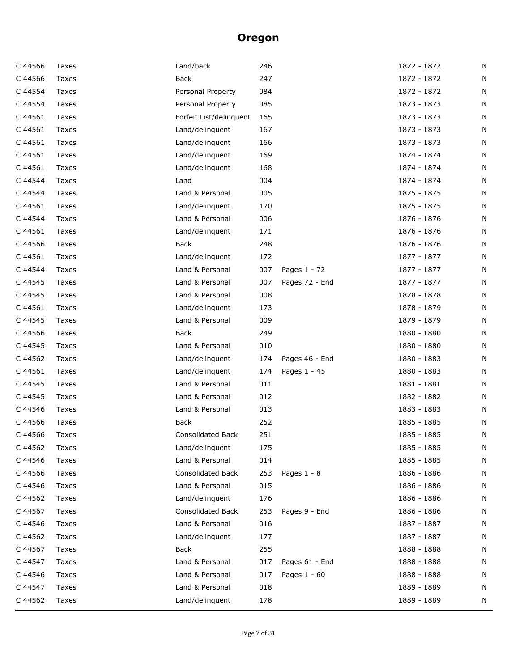| C 44566 | Taxes | Land/back                | 246 |                | 1872 - 1872 | N |
|---------|-------|--------------------------|-----|----------------|-------------|---|
| C 44566 | Taxes | Back                     | 247 |                | 1872 - 1872 | N |
| C 44554 | Taxes | Personal Property        | 084 |                | 1872 - 1872 | N |
| C 44554 | Taxes | Personal Property        | 085 |                | 1873 - 1873 | N |
| C 44561 | Taxes | Forfeit List/delinquent  | 165 |                | 1873 - 1873 | N |
| C 44561 | Taxes | Land/delinquent          | 167 |                | 1873 - 1873 | N |
| C 44561 | Taxes | Land/delinquent          | 166 |                | 1873 - 1873 | N |
| C 44561 | Taxes | Land/delinquent          | 169 |                | 1874 - 1874 | N |
| C 44561 | Taxes | Land/delinquent          | 168 |                | 1874 - 1874 | N |
| C 44544 | Taxes | Land                     | 004 |                | 1874 - 1874 | N |
| C 44544 | Taxes | Land & Personal          | 005 |                | 1875 - 1875 | N |
| C 44561 | Taxes | Land/delinguent          | 170 |                | 1875 - 1875 | N |
| C 44544 | Taxes | Land & Personal          | 006 |                | 1876 - 1876 | N |
| C 44561 | Taxes | Land/delinquent          | 171 |                | 1876 - 1876 | N |
| C 44566 | Taxes | <b>Back</b>              | 248 |                | 1876 - 1876 | N |
| C 44561 | Taxes | Land/delinquent          | 172 |                | 1877 - 1877 | N |
| C 44544 | Taxes | Land & Personal          | 007 | Pages 1 - 72   | 1877 - 1877 | N |
| C 44545 | Taxes | Land & Personal          | 007 | Pages 72 - End | 1877 - 1877 | N |
| C 44545 | Taxes | Land & Personal          | 008 |                | 1878 - 1878 | N |
| C 44561 | Taxes | Land/delinquent          | 173 |                | 1878 - 1879 | N |
| C 44545 | Taxes | Land & Personal          | 009 |                | 1879 - 1879 | N |
| C 44566 | Taxes | <b>Back</b>              | 249 |                | 1880 - 1880 | N |
| C 44545 | Taxes | Land & Personal          | 010 |                | 1880 - 1880 | N |
| C 44562 | Taxes | Land/delinquent          | 174 | Pages 46 - End | 1880 - 1883 | N |
| C 44561 | Taxes | Land/delinguent          | 174 | Pages 1 - 45   | 1880 - 1883 | N |
| C 44545 | Taxes | Land & Personal          | 011 |                | 1881 - 1881 | N |
| C 44545 | Taxes | Land & Personal          | 012 |                | 1882 - 1882 | N |
| C 44546 | Taxes | Land & Personal          | 013 |                | 1883 - 1883 | N |
| C 44566 | Taxes | <b>Back</b>              | 252 |                | 1885 - 1885 | N |
| C 44566 | Taxes | Consolidated Back        | 251 |                | 1885 - 1885 | N |
| C 44562 | Taxes | Land/delinquent          | 175 |                | 1885 - 1885 | N |
| C 44546 | Taxes | Land & Personal          | 014 |                | 1885 - 1885 | N |
| C 44566 | Taxes | <b>Consolidated Back</b> | 253 | Pages $1 - 8$  | 1886 - 1886 | Ν |
| C 44546 | Taxes | Land & Personal          | 015 |                | 1886 - 1886 | N |
| C 44562 | Taxes | Land/delinquent          | 176 |                | 1886 - 1886 | Ν |
| C 44567 | Taxes | Consolidated Back        | 253 | Pages 9 - End  | 1886 - 1886 | N |
| C 44546 | Taxes | Land & Personal          | 016 |                | 1887 - 1887 | N |
| C 44562 | Taxes | Land/delinquent          | 177 |                | 1887 - 1887 | N |
| C 44567 | Taxes | Back                     | 255 |                | 1888 - 1888 | Ν |
| C 44547 | Taxes | Land & Personal          | 017 | Pages 61 - End | 1888 - 1888 | N |
| C 44546 | Taxes | Land & Personal          | 017 | Pages 1 - 60   | 1888 - 1888 | N |
| C 44547 | Taxes | Land & Personal          | 018 |                | 1889 - 1889 | N |
| C 44562 | Taxes | Land/delinquent          | 178 |                | 1889 - 1889 | N |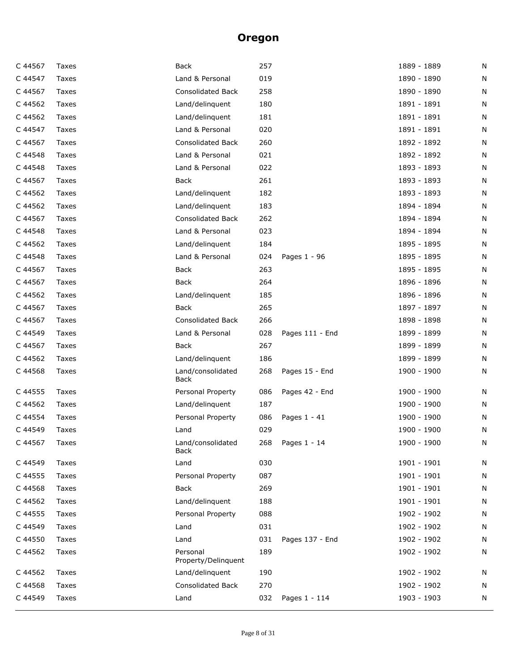| C 44567 | Taxes | Back                            | 257 |                 | 1889 - 1889 | N |
|---------|-------|---------------------------------|-----|-----------------|-------------|---|
| C 44547 | Taxes | Land & Personal                 | 019 |                 | 1890 - 1890 | N |
| C 44567 | Taxes | <b>Consolidated Back</b>        | 258 |                 | 1890 - 1890 | N |
| C 44562 | Taxes | Land/delinquent                 | 180 |                 | 1891 - 1891 | N |
| C 44562 | Taxes | Land/delinguent                 | 181 |                 | 1891 - 1891 | N |
| C 44547 | Taxes | Land & Personal                 | 020 |                 | 1891 - 1891 | N |
| C 44567 | Taxes | <b>Consolidated Back</b>        | 260 |                 | 1892 - 1892 | N |
| C 44548 | Taxes | Land & Personal                 | 021 |                 | 1892 - 1892 | N |
| C 44548 | Taxes | Land & Personal                 | 022 |                 | 1893 - 1893 | N |
| C 44567 | Taxes | <b>Back</b>                     | 261 |                 | 1893 - 1893 | N |
| C 44562 | Taxes | Land/delinquent                 | 182 |                 | 1893 - 1893 | N |
| C 44562 | Taxes | Land/delinquent                 | 183 |                 | 1894 - 1894 | N |
| C 44567 | Taxes | <b>Consolidated Back</b>        | 262 |                 | 1894 - 1894 | N |
| C 44548 | Taxes | Land & Personal                 | 023 |                 | 1894 - 1894 | N |
| C 44562 | Taxes | Land/delinquent                 | 184 |                 | 1895 - 1895 | N |
| C 44548 | Taxes | Land & Personal                 | 024 | Pages 1 - 96    | 1895 - 1895 | N |
| C 44567 | Taxes | Back                            | 263 |                 | 1895 - 1895 | N |
| C 44567 | Taxes | Back                            | 264 |                 | 1896 - 1896 | N |
| C 44562 | Taxes | Land/delinquent                 | 185 |                 | 1896 - 1896 | N |
| C 44567 | Taxes | <b>Back</b>                     | 265 |                 | 1897 - 1897 | N |
| C 44567 | Taxes | <b>Consolidated Back</b>        | 266 |                 | 1898 - 1898 | N |
| C 44549 | Taxes | Land & Personal                 | 028 | Pages 111 - End | 1899 - 1899 | N |
| C 44567 | Taxes | Back                            | 267 |                 | 1899 - 1899 | N |
| C 44562 | Taxes | Land/delinquent                 | 186 |                 | 1899 - 1899 | N |
| C 44568 | Taxes | Land/consolidated<br>Back       | 268 | Pages 15 - End  | 1900 - 1900 | N |
| C 44555 | Taxes | Personal Property               | 086 | Pages 42 - End  | 1900 - 1900 | N |
| C 44562 | Taxes | Land/delinquent                 | 187 |                 | 1900 - 1900 | N |
| C 44554 | Taxes | Personal Property               | 086 | Pages $1 - 41$  | 1900 - 1900 | N |
| C 44549 | Taxes | Land                            | 029 |                 | 1900 - 1900 | N |
| C 44567 | Taxes | Land/consolidated<br>Back       | 268 | Pages 1 - 14    | 1900 - 1900 | N |
| C 44549 | Taxes | Land                            | 030 |                 | 1901 - 1901 | N |
| C 44555 | Taxes | Personal Property               | 087 |                 | 1901 - 1901 | N |
| C 44568 | Taxes | Back                            | 269 |                 | 1901 - 1901 | N |
| C 44562 | Taxes | Land/delinquent                 | 188 |                 | 1901 - 1901 | N |
| C 44555 | Taxes | Personal Property               | 088 |                 | 1902 - 1902 | N |
| C 44549 | Taxes | Land                            | 031 |                 | 1902 - 1902 | N |
| C 44550 | Taxes | Land                            | 031 | Pages 137 - End | 1902 - 1902 | N |
| C 44562 | Taxes | Personal<br>Property/Delinquent | 189 |                 | 1902 - 1902 | N |
| C 44562 | Taxes | Land/delinquent                 | 190 |                 | 1902 - 1902 | N |
| C 44568 | Taxes | <b>Consolidated Back</b>        | 270 |                 | 1902 - 1902 | N |
| C 44549 | Taxes | Land                            | 032 | Pages 1 - 114   | 1903 - 1903 | N |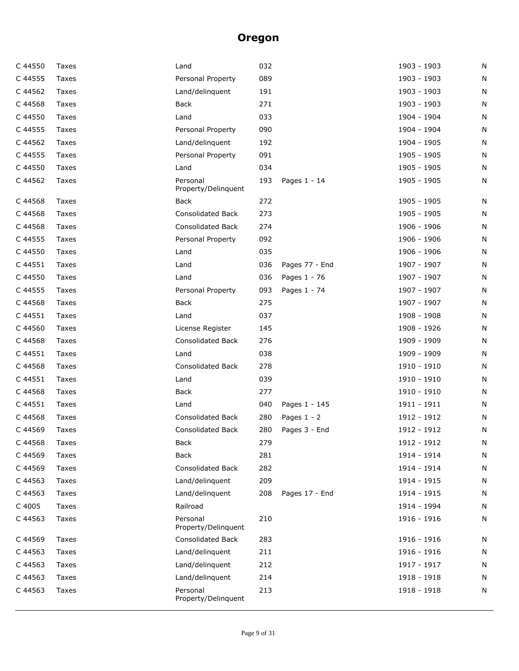| C 44550 | Taxes | Land                            | 032 |                | 1903 - 1903 | N |
|---------|-------|---------------------------------|-----|----------------|-------------|---|
| C 44555 | Taxes | Personal Property               | 089 |                | 1903 - 1903 | N |
| C 44562 | Taxes | Land/delinquent                 | 191 |                | 1903 - 1903 | N |
| C 44568 | Taxes | <b>Back</b>                     | 271 |                | 1903 - 1903 | N |
| C 44550 | Taxes | Land                            | 033 |                | 1904 - 1904 | N |
| C 44555 | Taxes | Personal Property               | 090 |                | 1904 - 1904 | N |
| C 44562 | Taxes | Land/delinquent                 | 192 |                | 1904 - 1905 | N |
| C 44555 | Taxes | Personal Property               | 091 |                | 1905 - 1905 | N |
| C 44550 | Taxes | Land                            | 034 |                | 1905 - 1905 | N |
| C 44562 | Taxes | Personal<br>Property/Delinquent | 193 | Pages 1 - 14   | 1905 - 1905 | N |
| C 44568 | Taxes | Back                            | 272 |                | 1905 - 1905 | N |
| C 44568 | Taxes | Consolidated Back               | 273 |                | 1905 - 1905 | N |
| C 44568 | Taxes | <b>Consolidated Back</b>        | 274 |                | 1906 - 1906 | N |
| C 44555 | Taxes | Personal Property               | 092 |                | 1906 - 1906 | N |
| C 44550 | Taxes | Land                            | 035 |                | 1906 - 1906 | N |
| C 44551 | Taxes | Land                            | 036 | Pages 77 - End | 1907 - 1907 | N |
| C 44550 | Taxes | Land                            | 036 | Pages 1 - 76   | 1907 - 1907 | N |
| C 44555 | Taxes | Personal Property               | 093 | Pages 1 - 74   | 1907 - 1907 | N |
| C 44568 | Taxes | <b>Back</b>                     | 275 |                | 1907 - 1907 | N |
| C 44551 | Taxes | Land                            | 037 |                | 1908 - 1908 | N |
| C 44560 | Taxes | License Register                | 145 |                | 1908 - 1926 | N |
| C 44568 | Taxes | <b>Consolidated Back</b>        | 276 |                | 1909 - 1909 | N |
| C 44551 | Taxes | Land                            | 038 |                | 1909 - 1909 | N |
| C 44568 | Taxes | <b>Consolidated Back</b>        | 278 |                | 1910 - 1910 | N |
| C 44551 | Taxes | Land                            | 039 |                | 1910 - 1910 | N |
| C 44568 | Taxes | Back                            | 277 |                | 1910 - 1910 | N |
| C 44551 | Taxes | Land                            | 040 | Pages 1 - 145  | 1911 - 1911 | N |
| C 44568 | Taxes | <b>Consolidated Back</b>        | 280 | Pages $1 - 2$  | 1912 - 1912 | N |
| C 44569 | Taxes | <b>Consolidated Back</b>        | 280 | Pages 3 - End  | 1912 - 1912 | N |
| C 44568 | Taxes | Back                            | 279 |                | 1912 - 1912 | N |
| C 44569 | Taxes | Back                            | 281 |                | 1914 - 1914 | N |
| C 44569 | Taxes | <b>Consolidated Back</b>        | 282 |                | 1914 - 1914 | N |
| C 44563 | Taxes | Land/delinquent                 | 209 |                | 1914 - 1915 | N |
| C 44563 | Taxes | Land/delinguent                 | 208 | Pages 17 - End | 1914 - 1915 | N |
| C 4005  | Taxes | Railroad                        |     |                | 1914 - 1994 | N |
| C 44563 | Taxes | Personal<br>Property/Delinquent | 210 |                | 1916 - 1916 | N |
| C 44569 | Taxes | <b>Consolidated Back</b>        | 283 |                | 1916 - 1916 | N |
| C 44563 | Taxes | Land/delinquent                 | 211 |                | 1916 - 1916 | N |
| C 44563 | Taxes | Land/delinquent                 | 212 |                | 1917 - 1917 | N |
| C 44563 | Taxes | Land/delinquent                 | 214 |                | 1918 - 1918 | N |
| C 44563 | Taxes | Personal<br>Property/Delinquent | 213 |                | 1918 - 1918 | N |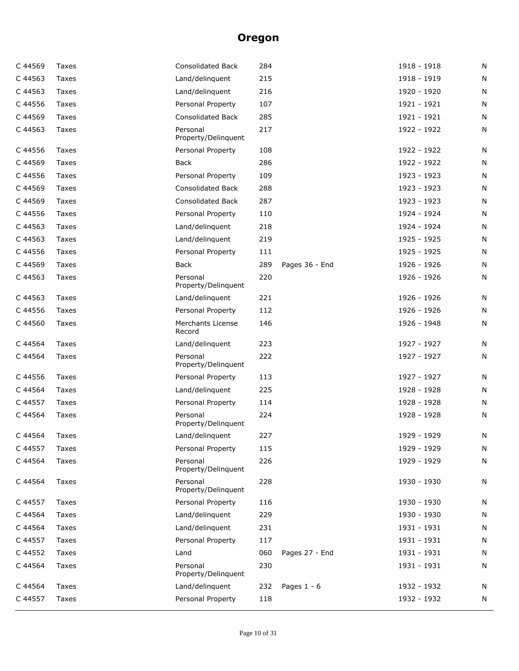| C 44569 | Taxes        | Consolidated Back                  | 284 |                | 1918 - 1918 | N |
|---------|--------------|------------------------------------|-----|----------------|-------------|---|
| C 44563 | Taxes        | Land/delinquent                    | 215 |                | 1918 - 1919 | N |
| C 44563 | Taxes        | Land/delinquent                    | 216 |                | 1920 - 1920 | N |
| C 44556 | Taxes        | Personal Property                  | 107 |                | 1921 - 1921 | N |
| C 44569 | <b>Taxes</b> | Consolidated Back                  | 285 |                | 1921 - 1921 | N |
| C 44563 | Taxes        | Personal<br>Property/Delinquent    | 217 |                | 1922 - 1922 | N |
| C 44556 | Taxes        | Personal Property                  | 108 |                | 1922 - 1922 | N |
| C 44569 | Taxes        | Back                               | 286 |                | 1922 - 1922 | N |
| C 44556 | Taxes        | Personal Property                  | 109 |                | 1923 - 1923 | N |
| C 44569 | Taxes        | <b>Consolidated Back</b>           | 288 |                | 1923 - 1923 | N |
| C 44569 | Taxes        | <b>Consolidated Back</b>           | 287 |                | 1923 - 1923 | N |
| C 44556 | Taxes        | Personal Property                  | 110 |                | 1924 - 1924 | N |
| C 44563 | Taxes        | Land/delinquent                    | 218 |                | 1924 - 1924 | N |
| C 44563 | Taxes        | Land/delinquent                    | 219 |                | 1925 - 1925 | N |
| C 44556 | Taxes        | Personal Property                  | 111 |                | 1925 - 1925 | N |
| C 44569 | Taxes        | Back                               | 289 | Pages 36 - End | 1926 - 1926 | N |
| C 44563 | Taxes        | Personal<br>Property/Delinquent    | 220 |                | 1926 - 1926 | N |
| C 44563 | Taxes        | Land/delinquent                    | 221 |                | 1926 - 1926 | N |
| C 44556 | Taxes        | Personal Property                  | 112 |                | 1926 - 1926 | N |
| C 44560 | Taxes        | <b>Merchants License</b><br>Record | 146 |                | 1926 - 1948 | N |
| C 44564 | Taxes        | Land/delinquent                    | 223 |                | 1927 - 1927 | N |
| C 44564 | Taxes        | Personal<br>Property/Delinquent    | 222 |                | 1927 - 1927 | N |
| C 44556 | Taxes        | Personal Property                  | 113 |                | 1927 - 1927 | N |
| C 44564 | Taxes        | Land/delinquent                    | 225 |                | 1928 - 1928 | N |
| C 44557 | Taxes        | Personal Property                  | 114 |                | 1928 - 1928 | N |
| C 44564 | Taxes        | Personal<br>Property/Delinquent    | 224 |                | 1928 - 1928 | N |
| C 44564 | Taxes        | Land/delinguent                    | 227 |                | 1929 - 1929 | N |
| C 44557 | Taxes        | Personal Property                  | 115 |                | 1929 - 1929 | N |
| C 44564 | Taxes        | Personal<br>Property/Delinquent    | 226 |                | 1929 - 1929 | N |
| C 44564 | Taxes        | Personal<br>Property/Delinquent    | 228 |                | 1930 - 1930 | Ν |
| C 44557 | Taxes        | Personal Property                  | 116 |                | 1930 - 1930 | N |
| C 44564 | Taxes        | Land/delinquent                    | 229 |                | 1930 - 1930 | N |
| C 44564 | Taxes        | Land/delinquent                    | 231 |                | 1931 - 1931 | N |
| C 44557 | Taxes        | Personal Property                  | 117 |                | 1931 - 1931 | N |
| C 44552 | Taxes        | Land                               | 060 | Pages 27 - End | 1931 - 1931 | N |
| C 44564 | Taxes        | Personal<br>Property/Delinquent    | 230 |                | 1931 - 1931 | N |
| C 44564 | Taxes        | Land/delinquent                    | 232 | Pages $1 - 6$  | 1932 - 1932 | Ν |
| C 44557 | Taxes        | Personal Property                  | 118 |                | 1932 - 1932 | N |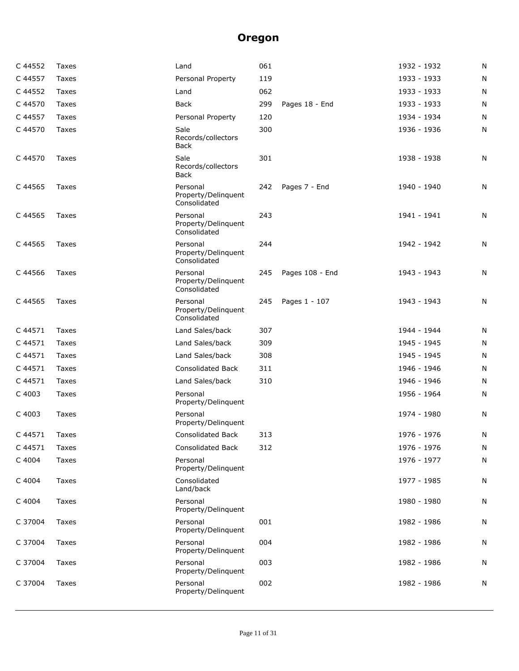| C 44552 | Taxes | Land                                            | 061 |                 | 1932 - 1932 | N |
|---------|-------|-------------------------------------------------|-----|-----------------|-------------|---|
| C 44557 | Taxes | Personal Property                               | 119 |                 | 1933 - 1933 | N |
| C 44552 | Taxes | Land                                            | 062 |                 | 1933 - 1933 | N |
| C 44570 | Taxes | Back                                            | 299 | Pages 18 - End  | 1933 - 1933 | N |
| C 44557 | Taxes | Personal Property                               | 120 |                 | 1934 - 1934 | N |
| C 44570 | Taxes | Sale<br>Records/collectors<br>Back              | 300 |                 | 1936 - 1936 | N |
| C 44570 | Taxes | Sale<br>Records/collectors<br>Back              | 301 |                 | 1938 - 1938 | N |
| C 44565 | Taxes | Personal<br>Property/Delinquent<br>Consolidated | 242 | Pages 7 - End   | 1940 - 1940 | N |
| C 44565 | Taxes | Personal<br>Property/Delinquent<br>Consolidated | 243 |                 | 1941 - 1941 | N |
| C 44565 | Taxes | Personal<br>Property/Delinquent<br>Consolidated | 244 |                 | 1942 - 1942 | N |
| C 44566 | Taxes | Personal<br>Property/Delinquent<br>Consolidated | 245 | Pages 108 - End | 1943 - 1943 | N |
| C 44565 | Taxes | Personal<br>Property/Delinquent<br>Consolidated | 245 | Pages 1 - 107   | 1943 - 1943 | N |
| C 44571 | Taxes | Land Sales/back                                 | 307 |                 | 1944 - 1944 | N |
| C 44571 | Taxes | Land Sales/back                                 | 309 |                 | 1945 - 1945 | N |
| C 44571 | Taxes | Land Sales/back                                 | 308 |                 | 1945 - 1945 | N |
| C 44571 | Taxes | <b>Consolidated Back</b>                        | 311 |                 | 1946 - 1946 | N |
| C 44571 | Taxes | Land Sales/back                                 | 310 |                 | 1946 - 1946 | N |
| C 4003  | Taxes | Personal<br>Property/Delinquent                 |     |                 | 1956 - 1964 | N |
| C 4003  | Taxes | Personal<br>Property/Delinquent                 |     |                 | 1974 - 1980 | N |
| C 44571 | Taxes | <b>Consolidated Back</b>                        | 313 |                 | 1976 - 1976 | N |
| C 44571 | Taxes | Consolidated Back                               | 312 |                 | 1976 - 1976 | N |
| C 4004  | Taxes | Personal<br>Property/Delinquent                 |     |                 | 1976 - 1977 | N |
| C 4004  | Taxes | Consolidated<br>Land/back                       |     |                 | 1977 - 1985 | N |
| C 4004  | Taxes | Personal<br>Property/Delinquent                 |     |                 | 1980 - 1980 | N |
| C 37004 | Taxes | Personal<br>Property/Delinquent                 | 001 |                 | 1982 - 1986 | N |
| C 37004 | Taxes | Personal<br>Property/Delinquent                 | 004 |                 | 1982 - 1986 | N |
| C 37004 | Taxes | Personal<br>Property/Delinquent                 | 003 |                 | 1982 - 1986 | N |
| C 37004 | Taxes | Personal<br>Property/Delinquent                 | 002 |                 | 1982 - 1986 | N |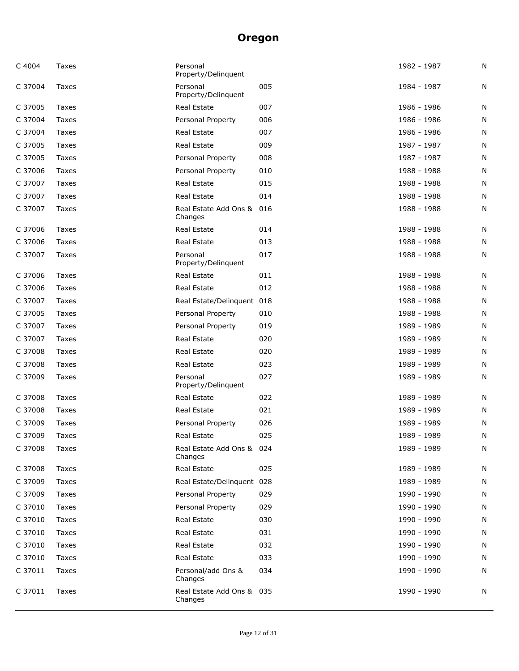| C 4004  | Taxes | Personal<br>Property/Delinguent      |     | 1982 - 1987 | N |
|---------|-------|--------------------------------------|-----|-------------|---|
| C 37004 | Taxes | Personal<br>Property/Delinquent      | 005 | 1984 - 1987 | N |
| C 37005 | Taxes | Real Estate                          | 007 | 1986 - 1986 | N |
| C 37004 | Taxes | Personal Property                    | 006 | 1986 - 1986 | N |
| C 37004 | Taxes | Real Estate                          | 007 | 1986 - 1986 | N |
| C 37005 | Taxes | <b>Real Estate</b>                   | 009 | 1987 - 1987 | N |
| C 37005 | Taxes | Personal Property                    | 008 | 1987 - 1987 | N |
| C 37006 | Taxes | Personal Property                    | 010 | 1988 - 1988 | N |
| C 37007 | Taxes | <b>Real Estate</b>                   | 015 | 1988 - 1988 | N |
| C 37007 | Taxes | Real Estate                          | 014 | 1988 - 1988 | N |
| C 37007 | Taxes | Real Estate Add Ons & 016<br>Changes |     | 1988 - 1988 | N |
| C 37006 | Taxes | Real Estate                          | 014 | 1988 - 1988 | N |
| C 37006 | Taxes | Real Estate                          | 013 | 1988 - 1988 | N |
| C 37007 | Taxes | Personal<br>Property/Delinquent      | 017 | 1988 - 1988 | N |
| C 37006 | Taxes | Real Estate                          | 011 | 1988 - 1988 | N |
| C 37006 | Taxes | Real Estate                          | 012 | 1988 - 1988 | N |
| C 37007 | Taxes | Real Estate/Delinquent 018           |     | 1988 - 1988 | N |
| C 37005 | Taxes | Personal Property                    | 010 | 1988 - 1988 | N |
| C 37007 | Taxes | Personal Property                    | 019 | 1989 - 1989 | N |
| C 37007 | Taxes | Real Estate                          | 020 | 1989 - 1989 | N |
| C 37008 | Taxes | Real Estate                          | 020 | 1989 - 1989 | N |
| C 37008 | Taxes | Real Estate                          | 023 | 1989 - 1989 | N |
| C 37009 | Taxes | Personal<br>Property/Delinquent      | 027 | 1989 - 1989 | N |
| C 37008 | Taxes | Real Estate                          | 022 | 1989 - 1989 | N |
| C 37008 | Taxes | Real Estate                          | 021 | 1989 - 1989 | N |
| C 37009 | Taxes | Personal Property                    | 026 | 1989 - 1989 | N |
| C 37009 | Taxes | Real Estate                          | 025 | 1989 - 1989 | N |
| C 37008 | Taxes | Real Estate Add Ons & 024<br>Changes |     | 1989 - 1989 | Ν |
| C 37008 | Taxes | <b>Real Estate</b>                   | 025 | 1989 - 1989 | N |
| C 37009 | Taxes | Real Estate/Delinquent 028           |     | 1989 - 1989 | N |
| C 37009 | Taxes | Personal Property                    | 029 | 1990 - 1990 | N |
| C 37010 | Taxes | Personal Property                    | 029 | 1990 - 1990 | N |
| C 37010 | Taxes | Real Estate                          | 030 | 1990 - 1990 | N |
| C 37010 | Taxes | Real Estate                          | 031 | 1990 - 1990 | N |
| C 37010 | Taxes | Real Estate                          | 032 | 1990 - 1990 | N |
| C 37010 | Taxes | Real Estate                          | 033 | 1990 - 1990 | N |
| C 37011 | Taxes | Personal/add Ons &<br>Changes        | 034 | 1990 - 1990 | N |
| C 37011 | Taxes | Real Estate Add Ons & 035<br>Changes |     | 1990 - 1990 | N |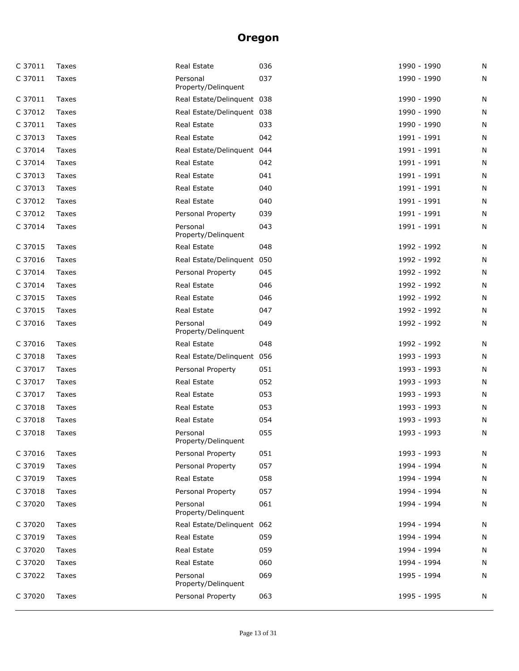| C 37011 | Taxes | Real Estate                     | 036 | 1990 - 1990 | N |
|---------|-------|---------------------------------|-----|-------------|---|
| C 37011 | Taxes | Personal<br>Property/Delinquent | 037 | 1990 - 1990 | N |
| C 37011 | Taxes | Real Estate/Delinquent 038      |     | 1990 - 1990 | N |
| C 37012 | Taxes | Real Estate/Delinquent 038      |     | 1990 - 1990 | N |
| C 37011 | Taxes | Real Estate                     | 033 | 1990 - 1990 | N |
| C 37013 | Taxes | Real Estate                     | 042 | 1991 - 1991 | N |
| C 37014 | Taxes | Real Estate/Delinquent 044      |     | 1991 - 1991 | N |
| C 37014 | Taxes | Real Estate                     | 042 | 1991 - 1991 | N |
| C 37013 | Taxes | Real Estate                     | 041 | 1991 - 1991 | N |
| C 37013 | Taxes | Real Estate                     | 040 | 1991 - 1991 | N |
| C 37012 | Taxes | Real Estate                     | 040 | 1991 - 1991 | N |
| C 37012 | Taxes | Personal Property               | 039 | 1991 - 1991 | N |
| C 37014 | Taxes | Personal<br>Property/Delinquent | 043 | 1991 - 1991 | N |
| C 37015 | Taxes | Real Estate                     | 048 | 1992 - 1992 | N |
| C 37016 | Taxes | Real Estate/Delinquent 050      |     | 1992 - 1992 | N |
| C 37014 | Taxes | Personal Property               | 045 | 1992 - 1992 | N |
| C 37014 | Taxes | Real Estate                     | 046 | 1992 - 1992 | N |
| C 37015 | Taxes | Real Estate                     | 046 | 1992 - 1992 | N |
| C 37015 | Taxes | Real Estate                     | 047 | 1992 - 1992 | N |
| C 37016 | Taxes | Personal<br>Property/Delinquent | 049 | 1992 - 1992 | N |
| C 37016 | Taxes | Real Estate                     | 048 | 1992 - 1992 | N |
| C 37018 | Taxes | Real Estate/Delinquent 056      |     | 1993 - 1993 | N |
| C 37017 | Taxes | Personal Property               | 051 | 1993 - 1993 | N |
| C 37017 | Taxes | Real Estate                     | 052 | 1993 - 1993 | N |
| C 37017 | Taxes | Real Estate                     | 053 | 1993 - 1993 | N |
| C 37018 | Taxes | Real Estate                     | 053 | 1993 - 1993 | N |
| C 37018 | Taxes | Real Estate                     | 054 | 1993 - 1993 | N |
| C 37018 | Taxes | Personal<br>Property/Delinquent | 055 | 1993 - 1993 | N |
| C 37016 | Taxes | Personal Property               | 051 | 1993 - 1993 | N |
| C 37019 | Taxes | Personal Property               | 057 | 1994 - 1994 | N |
| C 37019 | Taxes | Real Estate                     | 058 | 1994 - 1994 | N |
| C 37018 | Taxes | Personal Property               | 057 | 1994 - 1994 | N |
| C 37020 | Taxes | Personal<br>Property/Delinquent | 061 | 1994 - 1994 | N |
| C 37020 | Taxes | Real Estate/Delinquent 062      |     | 1994 - 1994 | N |
| C 37019 | Taxes | Real Estate                     | 059 | 1994 - 1994 | N |
| C 37020 | Taxes | Real Estate                     | 059 | 1994 - 1994 | N |
| C 37020 | Taxes | Real Estate                     | 060 | 1994 - 1994 | N |
| C 37022 | Taxes | Personal<br>Property/Delinquent | 069 | 1995 - 1994 | N |
| C 37020 | Taxes | Personal Property               | 063 | 1995 - 1995 | N |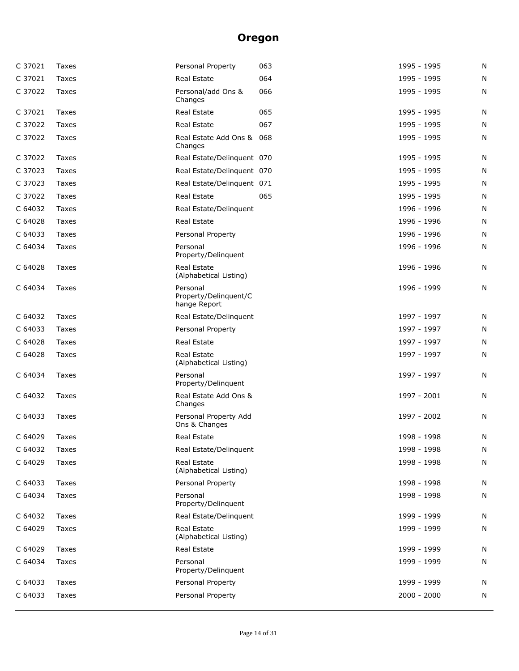| C 37021 | Taxes | Personal Property                                 | 063 | 1995 - 1995   | N |
|---------|-------|---------------------------------------------------|-----|---------------|---|
| C 37021 | Taxes | Real Estate                                       | 064 | 1995 - 1995   | N |
| C 37022 | Taxes | Personal/add Ons &<br>Changes                     | 066 | 1995 - 1995   | N |
| C 37021 | Taxes | Real Estate                                       | 065 | 1995 - 1995   | N |
| C 37022 | Taxes | Real Estate                                       | 067 | 1995 - 1995   | N |
| C 37022 | Taxes | Real Estate Add Ons & 068<br>Changes              |     | 1995 - 1995   | N |
| C 37022 | Taxes | Real Estate/Delinquent 070                        |     | 1995 - 1995   | N |
| C 37023 | Taxes | Real Estate/Delinquent 070                        |     | 1995 - 1995   | N |
| C 37023 | Taxes | Real Estate/Delinquent 071                        |     | 1995 - 1995   | N |
| C 37022 | Taxes | Real Estate                                       | 065 | 1995 - 1995   | N |
| C 64032 | Taxes | Real Estate/Delinquent                            |     | 1996 - 1996   | N |
| C 64028 | Taxes | Real Estate                                       |     | 1996 - 1996   | N |
| C 64033 | Taxes | Personal Property                                 |     | 1996 - 1996   | N |
| C 64034 | Taxes | Personal<br>Property/Delinquent                   |     | 1996 - 1996   | N |
| C 64028 | Taxes | <b>Real Estate</b><br>(Alphabetical Listing)      |     | 1996 - 1996   | N |
| C 64034 | Taxes | Personal<br>Property/Delinquent/C<br>hange Report |     | 1996 - 1999   | N |
| C 64032 | Taxes | Real Estate/Delinquent                            |     | 1997 - 1997   | N |
| C 64033 | Taxes | Personal Property                                 |     | 1997 - 1997   | N |
| C 64028 | Taxes | Real Estate                                       |     | 1997 - 1997   | N |
| C 64028 | Taxes | Real Estate<br>(Alphabetical Listing)             |     | 1997 - 1997   | N |
| C 64034 | Taxes | Personal<br>Property/Delinquent                   |     | 1997 - 1997   | N |
| C 64032 | Taxes | Real Estate Add Ons &<br>Changes                  |     | 1997 - 2001   | N |
| C 64033 | Taxes | Personal Property Add<br>Ons & Changes            |     | 1997 - 2002   | N |
| C 64029 | Taxes | Real Estate                                       |     | 1998 - 1998   | N |
| C 64032 | Taxes | Real Estate/Delinquent                            |     | 1998 - 1998   | N |
| C 64029 | Taxes | Real Estate<br>(Alphabetical Listing)             |     | 1998 - 1998   | N |
| C 64033 | Taxes | Personal Property                                 |     | 1998 - 1998   | N |
| C 64034 | Taxes | Personal<br>Property/Delinquent                   |     | 1998 - 1998   | N |
| C 64032 | Taxes | Real Estate/Delinguent                            |     | 1999 - 1999   | N |
| C 64029 | Taxes | Real Estate<br>(Alphabetical Listing)             |     | 1999 - 1999   | N |
| C 64029 | Taxes | Real Estate                                       |     | 1999 - 1999   | N |
| C 64034 | Taxes | Personal<br>Property/Delinquent                   |     | 1999 - 1999   | N |
| C 64033 | Taxes | Personal Property                                 |     | 1999 - 1999   | N |
| C 64033 | Taxes | Personal Property                                 |     | $2000 - 2000$ | N |
|         |       |                                                   |     |               |   |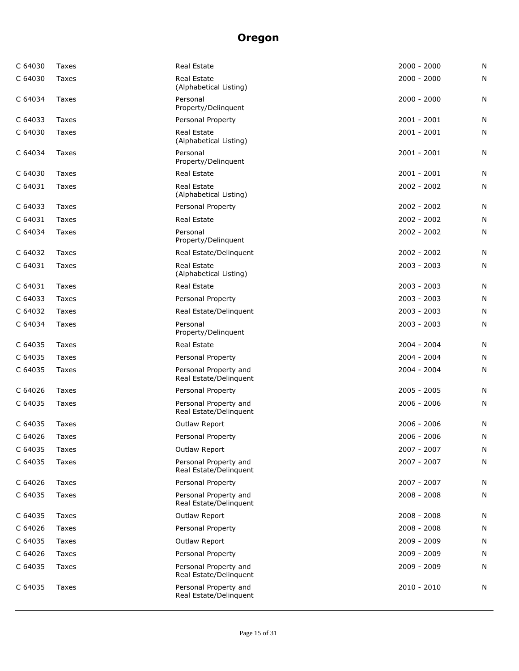| C 64030 | Taxes        | Real Estate                                     | $2000 - 2000$ | N |
|---------|--------------|-------------------------------------------------|---------------|---|
| C 64030 | Taxes        | Real Estate<br>(Alphabetical Listing)           | $2000 - 2000$ | N |
| C 64034 | Taxes        | Personal<br>Property/Delinquent                 | $2000 - 2000$ | N |
| C 64033 | Taxes        | Personal Property                               | $2001 - 2001$ | N |
| C 64030 | Taxes        | Real Estate<br>(Alphabetical Listing)           | $2001 - 2001$ | N |
| C 64034 | Taxes        | Personal<br>Property/Delinquent                 | $2001 - 2001$ | N |
| C 64030 | Taxes        | Real Estate                                     | $2001 - 2001$ | N |
| C 64031 | Taxes        | Real Estate<br>(Alphabetical Listing)           | $2002 - 2002$ | N |
| C 64033 | Taxes        | Personal Property                               | 2002 - 2002   | N |
| C 64031 | Taxes        | Real Estate                                     | $2002 - 2002$ | N |
| C 64034 | Taxes        | Personal<br>Property/Delinquent                 | $2002 - 2002$ | N |
| C 64032 | <b>Taxes</b> | Real Estate/Delinguent                          | $2002 - 2002$ | N |
| C 64031 | <b>Taxes</b> | <b>Real Estate</b><br>(Alphabetical Listing)    | $2003 - 2003$ | N |
| C 64031 | Taxes        | Real Estate                                     | $2003 - 2003$ | N |
| C 64033 | Taxes        | Personal Property                               | 2003 - 2003   | N |
| C 64032 | Taxes        | Real Estate/Delinquent                          | 2003 - 2003   | N |
| C 64034 | Taxes        | Personal<br>Property/Delinquent                 | $2003 - 2003$ | N |
| C 64035 | Taxes        | Real Estate                                     | $2004 - 2004$ | N |
| C 64035 | Taxes        | Personal Property                               | $2004 - 2004$ | N |
| C 64035 | Taxes        | Personal Property and<br>Real Estate/Delinquent | $2004 - 2004$ | N |
| C 64026 | Taxes        | Personal Property                               | $2005 - 2005$ | N |
| C 64035 | Taxes        | Personal Property and<br>Real Estate/Delinquent | $2006 - 2006$ | N |
| C 64035 | Taxes        | Outlaw Report                                   | $2006 - 2006$ | N |
| C 64026 | Taxes        | Personal Property                               | $2006 - 2006$ | N |
| C 64035 | Taxes        | Outlaw Report                                   | 2007 - 2007   | N |
| C 64035 | Taxes        | Personal Property and<br>Real Estate/Delinquent | 2007 - 2007   | N |
| C 64026 | Taxes        | Personal Property                               | 2007 - 2007   | N |
| C 64035 | Taxes        | Personal Property and<br>Real Estate/Delinquent | $2008 - 2008$ | N |
| C 64035 | Taxes        | Outlaw Report                                   | 2008 - 2008   | N |
| C 64026 | Taxes        | Personal Property                               | $2008 - 2008$ | N |
| C 64035 | Taxes        | Outlaw Report                                   | 2009 - 2009   | N |
| C 64026 | Taxes        | Personal Property                               | 2009 - 2009   | N |
| C 64035 | Taxes        | Personal Property and<br>Real Estate/Delinquent | 2009 - 2009   | N |
| C 64035 | Taxes        | Personal Property and<br>Real Estate/Delinquent | $2010 - 2010$ | N |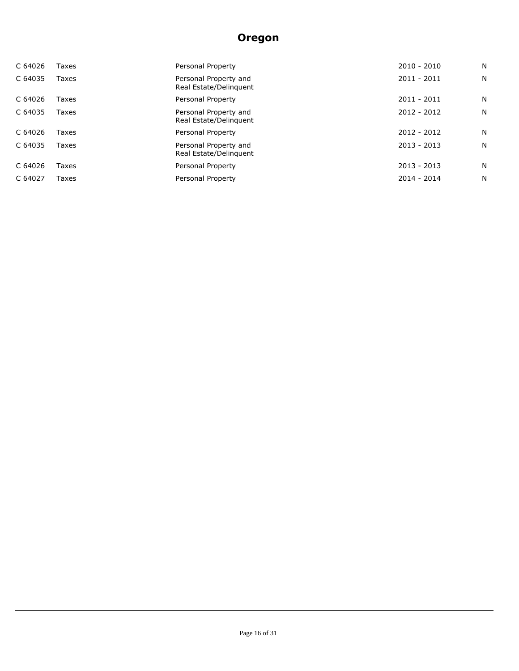| C 64026 | Taxes | Personal Property                               | $2010 - 2010$ | N  |
|---------|-------|-------------------------------------------------|---------------|----|
| C 64035 | Taxes | Personal Property and<br>Real Estate/Delinguent | 2011 - 2011   | N. |
| C 64026 | Taxes | Personal Property                               | $2011 - 2011$ | N. |
| C 64035 | Taxes | Personal Property and<br>Real Estate/Delinguent | $2012 - 2012$ | N  |
| C 64026 | Taxes | Personal Property                               | $2012 - 2012$ | N. |
| C 64035 | Taxes | Personal Property and<br>Real Estate/Delinguent | $2013 - 2013$ | N  |
| C 64026 | Taxes | Personal Property                               | $2013 - 2013$ | N  |
| C 64027 | Taxes | Personal Property                               | $2014 - 2014$ | N  |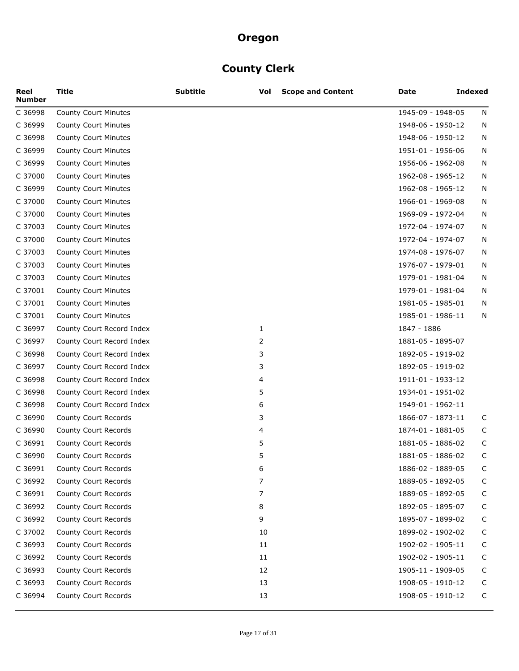# **County Clerk**

| Reel<br><b>Number</b> | <b>Title</b>                | <b>Subtitle</b> | Vol          | <b>Scope and Content</b> | Date              | <b>Indexed</b> |
|-----------------------|-----------------------------|-----------------|--------------|--------------------------|-------------------|----------------|
| C 36998               | County Court Minutes        |                 |              |                          | 1945-09 - 1948-05 | N              |
| C 36999               | County Court Minutes        |                 |              |                          | 1948-06 - 1950-12 | N              |
| C 36998               | <b>County Court Minutes</b> |                 |              |                          | 1948-06 - 1950-12 | N              |
| C 36999               | County Court Minutes        |                 |              |                          | 1951-01 - 1956-06 | N              |
| C 36999               | County Court Minutes        |                 |              |                          | 1956-06 - 1962-08 | N              |
| C 37000               | County Court Minutes        |                 |              |                          | 1962-08 - 1965-12 | N              |
| C 36999               | <b>County Court Minutes</b> |                 |              |                          | 1962-08 - 1965-12 | N              |
| C 37000               | <b>County Court Minutes</b> |                 |              |                          | 1966-01 - 1969-08 | N              |
| C 37000               | County Court Minutes        |                 |              |                          | 1969-09 - 1972-04 | N              |
| C 37003               | County Court Minutes        |                 |              |                          | 1972-04 - 1974-07 | N              |
| C 37000               | <b>County Court Minutes</b> |                 |              |                          | 1972-04 - 1974-07 | N              |
| C 37003               | <b>County Court Minutes</b> |                 |              |                          | 1974-08 - 1976-07 | N              |
| C 37003               | County Court Minutes        |                 |              |                          | 1976-07 - 1979-01 | N              |
| C 37003               | County Court Minutes        |                 |              |                          | 1979-01 - 1981-04 | N              |
| C 37001               | <b>County Court Minutes</b> |                 |              |                          | 1979-01 - 1981-04 | N              |
| C 37001               | County Court Minutes        |                 |              |                          | 1981-05 - 1985-01 | N              |
| C 37001               | County Court Minutes        |                 |              |                          | 1985-01 - 1986-11 | N              |
| C 36997               | County Court Record Index   |                 | $\mathbf{1}$ |                          | 1847 - 1886       |                |
| C 36997               | County Court Record Index   |                 | 2            |                          | 1881-05 - 1895-07 |                |
| C 36998               | County Court Record Index   |                 | 3            |                          | 1892-05 - 1919-02 |                |
| C 36997               | County Court Record Index   |                 | 3            |                          | 1892-05 - 1919-02 |                |
| C 36998               | County Court Record Index   |                 | 4            |                          | 1911-01 - 1933-12 |                |
| C 36998               | County Court Record Index   |                 | 5            |                          | 1934-01 - 1951-02 |                |
| C 36998               | County Court Record Index   |                 | 6            |                          | 1949-01 - 1962-11 |                |
| C 36990               | County Court Records        |                 | 3            |                          | 1866-07 - 1873-11 | C              |
| C 36990               | County Court Records        |                 | 4            |                          | 1874-01 - 1881-05 | C              |
| C 36991               | County Court Records        |                 | 5            |                          | 1881-05 - 1886-02 | C              |
| C 36990               | County Court Records        |                 | 5            |                          | 1881-05 - 1886-02 | C              |
| C 36991               | County Court Records        |                 | 6            |                          | 1886-02 - 1889-05 | C              |
| C 36992               | County Court Records        |                 | 7            |                          | 1889-05 - 1892-05 | C              |
| C 36991               | County Court Records        |                 | 7            |                          | 1889-05 - 1892-05 | $\mathsf{C}$   |
| C 36992               | County Court Records        |                 | 8            |                          | 1892-05 - 1895-07 | C              |
| C 36992               | County Court Records        |                 | 9            |                          | 1895-07 - 1899-02 | C              |
| C 37002               | County Court Records        |                 | 10           |                          | 1899-02 - 1902-02 | C              |
| C 36993               | County Court Records        |                 | 11           |                          | 1902-02 - 1905-11 | C              |
| C 36992               | County Court Records        |                 | 11           |                          | 1902-02 - 1905-11 | C              |
| C 36993               | County Court Records        |                 | 12           |                          | 1905-11 - 1909-05 | C              |
| C 36993               | County Court Records        |                 | 13           |                          | 1908-05 - 1910-12 | C              |
| C 36994               | County Court Records        |                 | 13           |                          | 1908-05 - 1910-12 | C              |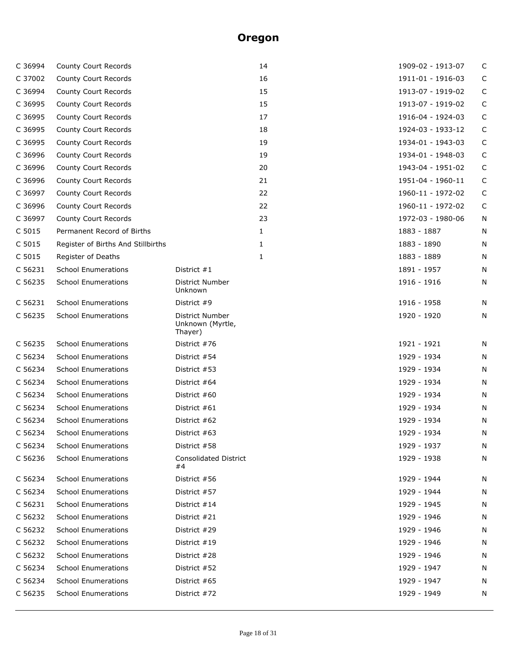| C 36994 | County Court Records               |                                                | 14 | 1909-02 - 1913-07 | C           |
|---------|------------------------------------|------------------------------------------------|----|-------------------|-------------|
| C 37002 | County Court Records               |                                                | 16 | 1911-01 - 1916-03 | C           |
| C 36994 | County Court Records               |                                                | 15 | 1913-07 - 1919-02 | $\mathsf C$ |
| C 36995 | County Court Records               |                                                | 15 | 1913-07 - 1919-02 | $\mathsf C$ |
| C 36995 | County Court Records               |                                                | 17 | 1916-04 - 1924-03 | $\mathsf C$ |
| C 36995 | County Court Records               |                                                | 18 | 1924-03 - 1933-12 | $\mathsf C$ |
| C 36995 | County Court Records               |                                                | 19 | 1934-01 - 1943-03 | $\mathsf C$ |
| C 36996 | County Court Records               |                                                | 19 | 1934-01 - 1948-03 | C           |
| C 36996 | County Court Records               |                                                | 20 | 1943-04 - 1951-02 | C           |
| C 36996 | County Court Records               |                                                | 21 | 1951-04 - 1960-11 | C           |
| C 36997 | County Court Records               |                                                | 22 | 1960-11 - 1972-02 | C           |
| C 36996 | County Court Records               |                                                | 22 | 1960-11 - 1972-02 | C           |
| C 36997 | County Court Records               |                                                | 23 | 1972-03 - 1980-06 | N           |
| C 5015  | Permanent Record of Births         |                                                | 1  | 1883 - 1887       | N           |
| C 5015  | Register of Births And Stillbirths |                                                | 1  | 1883 - 1890       | N           |
| C 5015  | Register of Deaths                 |                                                | 1  | 1883 - 1889       | N           |
| C 56231 | <b>School Enumerations</b>         | District #1                                    |    | 1891 - 1957       | N           |
| C 56235 | <b>School Enumerations</b>         | District Number<br>Unknown                     |    | 1916 - 1916       | N           |
| C 56231 | <b>School Enumerations</b>         | District #9                                    |    | 1916 - 1958       | N           |
| C 56235 | <b>School Enumerations</b>         | District Number<br>Unknown (Myrtle,<br>Thayer) |    | 1920 - 1920       | N           |
| C 56235 | <b>School Enumerations</b>         | District #76                                   |    | 1921 - 1921       | N           |
| C 56234 | <b>School Enumerations</b>         | District #54                                   |    | 1929 - 1934       | N           |
| C 56234 | <b>School Enumerations</b>         | District #53                                   |    | 1929 - 1934       | N           |
| C 56234 | <b>School Enumerations</b>         | District #64                                   |    | 1929 - 1934       | N           |
| C 56234 | <b>School Enumerations</b>         | District #60                                   |    | 1929 - 1934       | N           |
| C 56234 | <b>School Enumerations</b>         | District #61                                   |    | 1929 - 1934       | N           |
| C 56234 | <b>School Enumerations</b>         | District #62                                   |    | 1929 - 1934       | N           |
| C 56234 | <b>School Enumerations</b>         | District #63                                   |    | 1929 - 1934       | N           |
| C 56234 | <b>School Enumerations</b>         | District #58                                   |    | 1929 - 1937       | N           |
| C 56236 | <b>School Enumerations</b>         | <b>Consolidated District</b><br>#4             |    | 1929 - 1938       | N           |
| C 56234 | <b>School Enumerations</b>         | District #56                                   |    | 1929 - 1944       | N           |
| C 56234 | <b>School Enumerations</b>         | District #57                                   |    | 1929 - 1944       | N           |
| C 56231 | <b>School Enumerations</b>         | District #14                                   |    | 1929 - 1945       | N           |
| C 56232 | <b>School Enumerations</b>         | District #21                                   |    | 1929 - 1946       | N           |
| C 56232 | <b>School Enumerations</b>         | District #29                                   |    | 1929 - 1946       | N           |
| C 56232 | <b>School Enumerations</b>         | District $#19$                                 |    | 1929 - 1946       | N           |
| C 56232 | <b>School Enumerations</b>         | District #28                                   |    | 1929 - 1946       | N           |
| C 56234 | <b>School Enumerations</b>         | District #52                                   |    | 1929 - 1947       | N           |
| C 56234 | <b>School Enumerations</b>         | District #65                                   |    | 1929 - 1947       | N           |
| C 56235 | <b>School Enumerations</b>         | District #72                                   |    | 1929 - 1949       | N           |
|         |                                    |                                                |    |                   |             |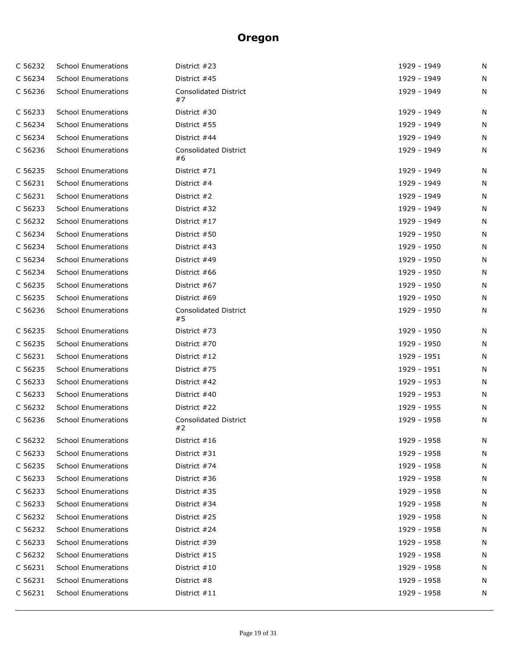| C 56232 | <b>School Enumerations</b> | District #23                       | 1929 - 1949 | N |
|---------|----------------------------|------------------------------------|-------------|---|
| C 56234 | <b>School Enumerations</b> | District #45                       | 1929 - 1949 | N |
| C 56236 | <b>School Enumerations</b> | <b>Consolidated District</b><br>#7 | 1929 - 1949 | N |
| C 56233 | <b>School Enumerations</b> | District #30                       | 1929 - 1949 | N |
| C 56234 | <b>School Enumerations</b> | District #55                       | 1929 - 1949 | N |
| C 56234 | <b>School Enumerations</b> | District #44                       | 1929 - 1949 | N |
| C 56236 | <b>School Enumerations</b> | <b>Consolidated District</b><br>#6 | 1929 - 1949 | N |
| C 56235 | <b>School Enumerations</b> | District #71                       | 1929 - 1949 | N |
| C 56231 | <b>School Enumerations</b> | District #4                        | 1929 - 1949 | N |
| C 56231 | <b>School Enumerations</b> | District #2                        | 1929 - 1949 | N |
| C 56233 | <b>School Enumerations</b> | District #32                       | 1929 - 1949 | N |
| C 56232 | <b>School Enumerations</b> | District #17                       | 1929 - 1949 | N |
| C 56234 | <b>School Enumerations</b> | District #50                       | 1929 - 1950 | N |
| C 56234 | <b>School Enumerations</b> | District #43                       | 1929 - 1950 | N |
| C 56234 | <b>School Enumerations</b> | District #49                       | 1929 - 1950 | N |
| C 56234 | <b>School Enumerations</b> | District #66                       | 1929 - 1950 | N |
| C 56235 | <b>School Enumerations</b> | District #67                       | 1929 - 1950 | N |
| C 56235 | <b>School Enumerations</b> | District #69                       | 1929 - 1950 | N |
| C 56236 | <b>School Enumerations</b> | <b>Consolidated District</b><br>#5 | 1929 - 1950 | N |
| C 56235 | <b>School Enumerations</b> | District #73                       | 1929 - 1950 | N |
| C 56235 | <b>School Enumerations</b> | District #70                       | 1929 - 1950 | N |
| C 56231 | <b>School Enumerations</b> | District #12                       | 1929 - 1951 | N |
| C 56235 | <b>School Enumerations</b> | District #75                       | 1929 - 1951 | N |
| C 56233 | <b>School Enumerations</b> | District #42                       | 1929 - 1953 | N |
| C 56233 | <b>School Enumerations</b> | District #40                       | 1929 - 1953 | N |
| C 56232 | <b>School Enumerations</b> | District #22                       | 1929 - 1955 | N |
| C 56236 | <b>School Enumerations</b> | <b>Consolidated District</b><br>#2 | 1929 - 1958 | N |
| C 56232 | <b>School Enumerations</b> | District #16                       | 1929 - 1958 | N |
| C 56233 | <b>School Enumerations</b> | District #31                       | 1929 - 1958 | N |
| C 56235 | <b>School Enumerations</b> | District #74                       | 1929 - 1958 | N |
| C 56233 | <b>School Enumerations</b> | District #36                       | 1929 - 1958 | N |
| C 56233 | <b>School Enumerations</b> | District #35                       | 1929 - 1958 | N |
| C 56233 | <b>School Enumerations</b> | District #34                       | 1929 - 1958 | N |
| C 56232 | <b>School Enumerations</b> | District #25                       | 1929 - 1958 | N |
| C 56232 | <b>School Enumerations</b> | District #24                       | 1929 - 1958 | N |
| C 56233 | <b>School Enumerations</b> | District #39                       | 1929 - 1958 | N |
| C 56232 | <b>School Enumerations</b> | District $#15$                     | 1929 - 1958 | N |
| C 56231 | <b>School Enumerations</b> | District $#10$                     | 1929 - 1958 | N |
| C 56231 | <b>School Enumerations</b> | District #8                        | 1929 - 1958 | N |
| C 56231 | <b>School Enumerations</b> | District $#11$                     | 1929 - 1958 | N |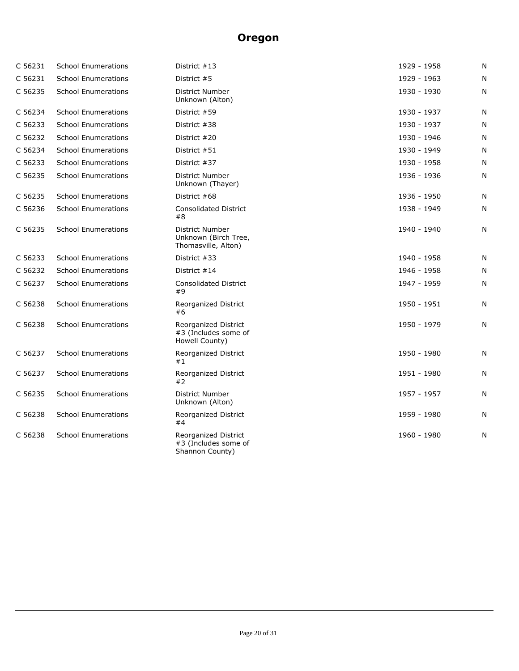| C 56231 | <b>School Enumerations</b> | District #13                                                    | 1929 - 1958 | N         |
|---------|----------------------------|-----------------------------------------------------------------|-------------|-----------|
| C 56231 | <b>School Enumerations</b> | District #5                                                     | 1929 - 1963 | N         |
| C 56235 | <b>School Enumerations</b> | District Number<br>Unknown (Alton)                              | 1930 - 1930 | N         |
| C 56234 | <b>School Enumerations</b> | District #59                                                    | 1930 - 1937 | N         |
| C 56233 | <b>School Enumerations</b> | District #38                                                    | 1930 - 1937 | N         |
| C 56232 | <b>School Enumerations</b> | District #20                                                    | 1930 - 1946 | N         |
| C 56234 | <b>School Enumerations</b> | District #51                                                    | 1930 - 1949 | N         |
| C 56233 | <b>School Enumerations</b> | District #37                                                    | 1930 - 1958 | N         |
| C 56235 | <b>School Enumerations</b> | District Number<br>Unknown (Thayer)                             | 1936 - 1936 | N         |
| C 56235 | <b>School Enumerations</b> | District #68                                                    | 1936 - 1950 | N         |
| C 56236 | <b>School Enumerations</b> | <b>Consolidated District</b><br>#8                              | 1938 - 1949 | N         |
| C 56235 | <b>School Enumerations</b> | District Number<br>Unknown (Birch Tree,<br>Thomasville, Alton)  | 1940 - 1940 | N         |
| C 56233 | <b>School Enumerations</b> | District #33                                                    | 1940 - 1958 | N         |
| C 56232 | <b>School Enumerations</b> | District #14                                                    | 1946 - 1958 | N         |
| C 56237 | <b>School Enumerations</b> | <b>Consolidated District</b><br>#9                              | 1947 - 1959 | N         |
| C 56238 | <b>School Enumerations</b> | Reorganized District<br>#6                                      | 1950 - 1951 | ${\sf N}$ |
| C 56238 | <b>School Enumerations</b> | Reorganized District<br>#3 (Includes some of<br>Howell County)  | 1950 - 1979 | N         |
| C 56237 | <b>School Enumerations</b> | Reorganized District<br>#1                                      | 1950 - 1980 | N         |
| C 56237 | <b>School Enumerations</b> | Reorganized District<br>#2                                      | 1951 - 1980 | N         |
| C 56235 | <b>School Enumerations</b> | District Number<br>Unknown (Alton)                              | 1957 - 1957 | N         |
| C 56238 | <b>School Enumerations</b> | Reorganized District<br>#4                                      | 1959 - 1980 | N         |
| C 56238 | <b>School Enumerations</b> | Reorganized District<br>#3 (Includes some of<br>Shannon County) | 1960 - 1980 | N         |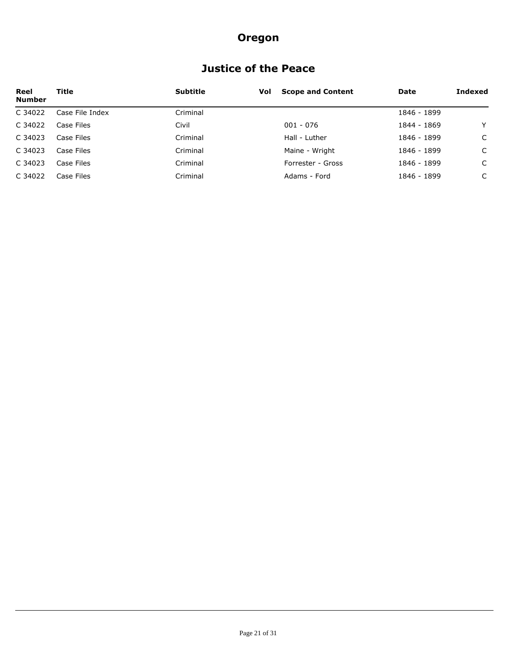## **Justice of the Peace**

| Reel<br><b>Number</b> | Title           | <b>Subtitle</b> | Vol | <b>Scope and Content</b> | Date        | Indexed |
|-----------------------|-----------------|-----------------|-----|--------------------------|-------------|---------|
| C 34022               | Case File Index | Criminal        |     |                          | 1846 - 1899 |         |
| C 34022               | Case Files      | Civil           |     | $001 - 076$              | 1844 - 1869 | v       |
| C 34023               | Case Files      | Criminal        |     | Hall - Luther            | 1846 - 1899 | C       |
| C 34023               | Case Files      | Criminal        |     | Maine - Wright           | 1846 - 1899 | C       |
| C 34023               | Case Files      | Criminal        |     | Forrester - Gross        | 1846 - 1899 | C       |
| C 34022               | Case Files      | Criminal        |     | Adams - Ford             | 1846 - 1899 | C       |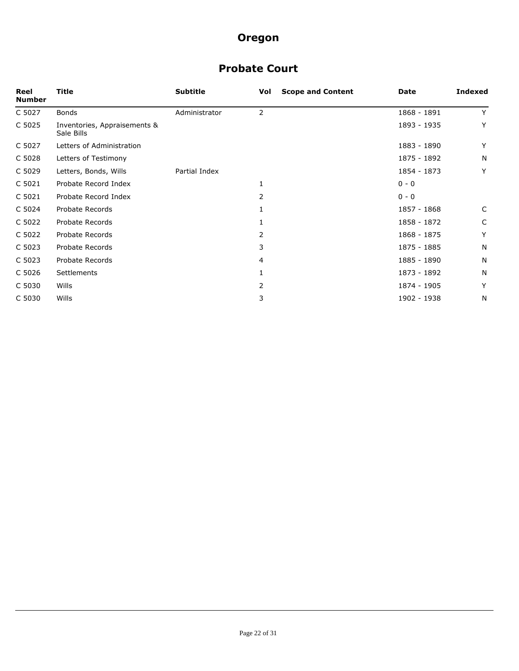## **Probate Court**

| Reel<br><b>Number</b> | Title                                      | <b>Subtitle</b> | <b>Scope and Content</b><br>Vol | <b>Date</b> | Indexed |
|-----------------------|--------------------------------------------|-----------------|---------------------------------|-------------|---------|
| C 5027                | <b>Bonds</b>                               | Administrator   | 2                               | 1868 - 1891 | Y       |
| C 5025                | Inventories, Appraisements &<br>Sale Bills |                 |                                 | 1893 - 1935 | Y       |
| C 5027                | Letters of Administration                  |                 |                                 | 1883 - 1890 | Y       |
| C 5028                | Letters of Testimony                       |                 |                                 | 1875 - 1892 | N       |
| C 5029                | Letters, Bonds, Wills                      | Partial Index   |                                 | 1854 - 1873 | Y       |
| C 5021                | Probate Record Index                       |                 | 1                               | $0 - 0$     |         |
| C 5021                | Probate Record Index                       |                 | 2                               | $0 - 0$     |         |
| C 5024                | Probate Records                            |                 |                                 | 1857 - 1868 | C       |
| C 5022                | Probate Records                            |                 |                                 | 1858 - 1872 | C       |
| C 5022                | Probate Records                            |                 | 2                               | 1868 - 1875 | Y       |
| C 5023                | Probate Records                            |                 | 3                               | 1875 - 1885 | N       |
| C 5023                | Probate Records                            |                 | 4                               | 1885 - 1890 | N       |
| C 5026                | Settlements                                |                 | 1                               | 1873 - 1892 | N       |
| C 5030                | Wills                                      |                 | 2                               | 1874 - 1905 | Y       |
| C 5030                | Wills                                      |                 | 3                               | 1902 - 1938 | N       |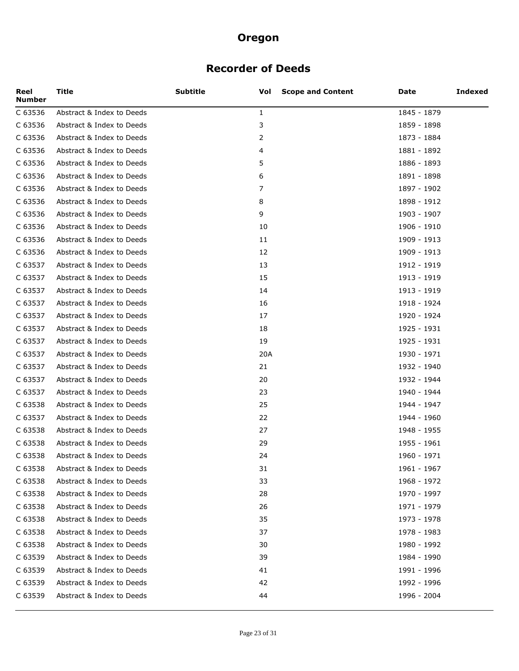### **Recorder of Deeds**

| Reel<br><b>Number</b> | Title                     | <b>Subtitle</b><br>Vol | <b>Scope and Content</b> | Date        | Indexed |
|-----------------------|---------------------------|------------------------|--------------------------|-------------|---------|
| C 63536               | Abstract & Index to Deeds | $\mathbf{1}$           |                          | 1845 - 1879 |         |
| C 63536               | Abstract & Index to Deeds | 3                      |                          | 1859 - 1898 |         |
| C 63536               | Abstract & Index to Deeds | 2                      |                          | 1873 - 1884 |         |
| C 63536               | Abstract & Index to Deeds | 4                      |                          | 1881 - 1892 |         |
| C 63536               | Abstract & Index to Deeds | 5                      |                          | 1886 - 1893 |         |
| C 63536               | Abstract & Index to Deeds | 6                      |                          | 1891 - 1898 |         |
| C 63536               | Abstract & Index to Deeds | 7                      |                          | 1897 - 1902 |         |
| C 63536               | Abstract & Index to Deeds | 8                      |                          | 1898 - 1912 |         |
| C 63536               | Abstract & Index to Deeds | 9                      |                          | 1903 - 1907 |         |
| C 63536               | Abstract & Index to Deeds | 10                     |                          | 1906 - 1910 |         |
| C 63536               | Abstract & Index to Deeds | 11                     |                          | 1909 - 1913 |         |
| C 63536               | Abstract & Index to Deeds | 12                     |                          | 1909 - 1913 |         |
| C 63537               | Abstract & Index to Deeds | 13                     |                          | 1912 - 1919 |         |
| C 63537               | Abstract & Index to Deeds | 15                     |                          | 1913 - 1919 |         |
| C 63537               | Abstract & Index to Deeds | 14                     |                          | 1913 - 1919 |         |
| C 63537               | Abstract & Index to Deeds | 16                     |                          | 1918 - 1924 |         |
| C 63537               | Abstract & Index to Deeds | 17                     |                          | 1920 - 1924 |         |
| C 63537               | Abstract & Index to Deeds | 18                     |                          | 1925 - 1931 |         |
| C 63537               | Abstract & Index to Deeds | 19                     |                          | 1925 - 1931 |         |
| C 63537               | Abstract & Index to Deeds | 20A                    |                          | 1930 - 1971 |         |
| C 63537               | Abstract & Index to Deeds | 21                     |                          | 1932 - 1940 |         |
| C 63537               | Abstract & Index to Deeds | 20                     |                          | 1932 - 1944 |         |
| C 63537               | Abstract & Index to Deeds | 23                     |                          | 1940 - 1944 |         |
| C 63538               | Abstract & Index to Deeds | 25                     |                          | 1944 - 1947 |         |
| C 63537               | Abstract & Index to Deeds | 22                     |                          | 1944 - 1960 |         |
| C 63538               | Abstract & Index to Deeds | 27                     |                          | 1948 - 1955 |         |
| C 63538               | Abstract & Index to Deeds | 29                     |                          | 1955 - 1961 |         |
| C 63538               | Abstract & Index to Deeds | 24                     |                          | 1960 - 1971 |         |
| C 63538               | Abstract & Index to Deeds | 31                     |                          | 1961 - 1967 |         |
| C 63538               | Abstract & Index to Deeds | 33                     |                          | 1968 - 1972 |         |
| C 63538               | Abstract & Index to Deeds | 28                     |                          | 1970 - 1997 |         |
| C 63538               | Abstract & Index to Deeds | 26                     |                          | 1971 - 1979 |         |
| C 63538               | Abstract & Index to Deeds | 35                     |                          | 1973 - 1978 |         |
| C 63538               | Abstract & Index to Deeds | 37                     |                          | 1978 - 1983 |         |
| C 63538               | Abstract & Index to Deeds | 30                     |                          | 1980 - 1992 |         |
| C 63539               | Abstract & Index to Deeds | 39                     |                          | 1984 - 1990 |         |
| C 63539               | Abstract & Index to Deeds | 41                     |                          | 1991 - 1996 |         |
| C 63539               | Abstract & Index to Deeds | 42                     |                          | 1992 - 1996 |         |
| C 63539               | Abstract & Index to Deeds | 44                     |                          | 1996 - 2004 |         |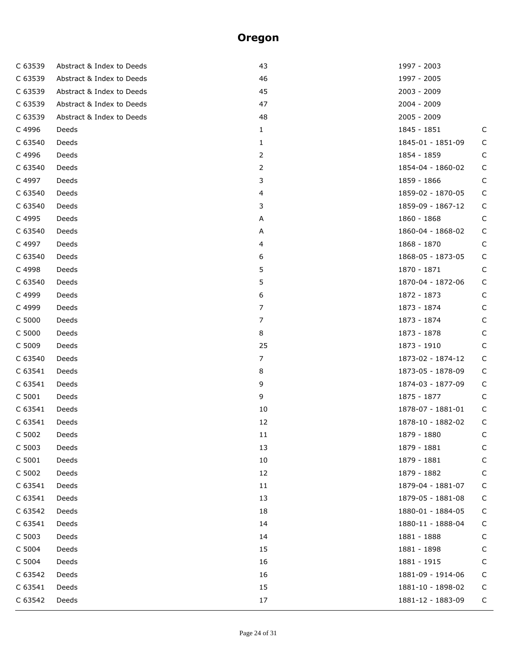| C 63539 | Abstract & Index to Deeds | 43             | 1997 - 2003       |             |
|---------|---------------------------|----------------|-------------------|-------------|
| C 63539 | Abstract & Index to Deeds | 46             | 1997 - 2005       |             |
| C 63539 | Abstract & Index to Deeds | 45             | 2003 - 2009       |             |
| C 63539 | Abstract & Index to Deeds | 47             | 2004 - 2009       |             |
| C 63539 | Abstract & Index to Deeds | 48             | 2005 - 2009       |             |
| C 4996  | Deeds                     | $\mathbf{1}$   | 1845 - 1851       | C           |
| C 63540 | Deeds                     | 1              | 1845-01 - 1851-09 | C           |
| C 4996  | Deeds                     | 2              | 1854 - 1859       | C           |
| C 63540 | Deeds                     | 2              | 1854-04 - 1860-02 | C           |
| C 4997  | Deeds                     | 3              | 1859 - 1866       | C           |
| C 63540 | Deeds                     | 4              | 1859-02 - 1870-05 | C           |
| C 63540 | Deeds                     | 3              | 1859-09 - 1867-12 | C           |
| C 4995  | Deeds                     | A              | 1860 - 1868       | C           |
| C 63540 | Deeds                     | A              | 1860-04 - 1868-02 | $\mathsf C$ |
| C 4997  | Deeds                     | 4              | 1868 - 1870       | C           |
| C 63540 | Deeds                     | 6              | 1868-05 - 1873-05 | C           |
| C 4998  | Deeds                     | 5              | 1870 - 1871       | C           |
| C 63540 | Deeds                     | 5              | 1870-04 - 1872-06 | C           |
| C 4999  | Deeds                     | 6              | 1872 - 1873       | C           |
| C 4999  | Deeds                     | 7              | 1873 - 1874       | C           |
| C 5000  | Deeds                     | 7              | 1873 - 1874       | C           |
| C 5000  | Deeds                     | 8              | 1873 - 1878       | $\mathsf C$ |
| C 5009  | Deeds                     | 25             | 1873 - 1910       | C           |
| C 63540 | Deeds                     | $\overline{7}$ | 1873-02 - 1874-12 | $\mathsf C$ |
| C 63541 | Deeds                     | 8              | 1873-05 - 1878-09 | $\mathsf C$ |
| C 63541 | Deeds                     | 9              | 1874-03 - 1877-09 | $\mathsf C$ |
| C 5001  | Deeds                     | 9              | 1875 - 1877       | C           |
| C 63541 | Deeds                     | 10             | 1878-07 - 1881-01 | C           |
| C 63541 | Deeds                     | 12             | 1878-10 - 1882-02 | C           |
| C 5002  | Deeds                     | 11             | 1879 - 1880       | C           |
| C 5003  | Deeds                     | 13             | 1879 - 1881       | C           |
| C 5001  | Deeds                     | 10             | 1879 - 1881       | C           |
| C 5002  | Deeds                     | 12             | 1879 - 1882       | C           |
| C 63541 | Deeds                     | 11             | 1879-04 - 1881-07 | C           |
| C 63541 | Deeds                     | 13             | 1879-05 - 1881-08 | C           |
| C 63542 | Deeds                     | 18             | 1880-01 - 1884-05 | C           |
| C 63541 | Deeds                     | 14             | 1880-11 - 1888-04 | C           |
| C 5003  | Deeds                     | 14             | 1881 - 1888       | C           |
| C 5004  | Deeds                     | 15             | 1881 - 1898       | C           |
| C 5004  | Deeds                     | 16             | 1881 - 1915       | C           |
| C 63542 | Deeds                     | 16             | 1881-09 - 1914-06 | C           |
| C 63541 | Deeds                     | 15             | 1881-10 - 1898-02 | C           |
| C 63542 | Deeds                     | 17             | 1881-12 - 1883-09 | С           |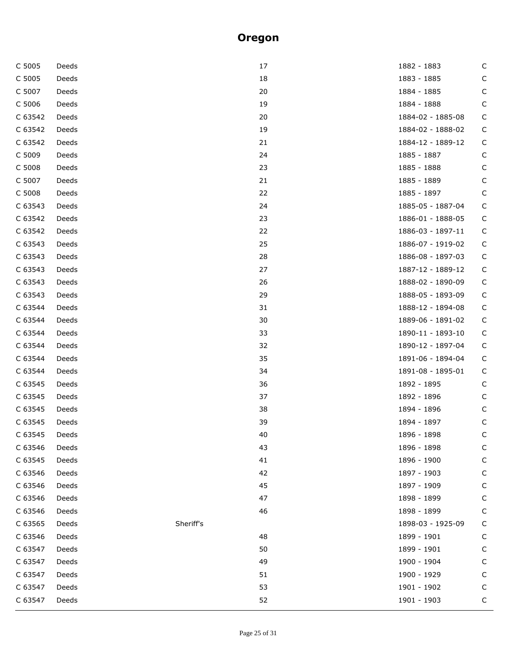| C 5005  | Deeds |           | 17 | 1882 - 1883       | C            |
|---------|-------|-----------|----|-------------------|--------------|
| C 5005  | Deeds |           | 18 | 1883 - 1885       | C            |
| C 5007  | Deeds |           | 20 | 1884 - 1885       | C            |
| C 5006  | Deeds |           | 19 | 1884 - 1888       | C            |
| C 63542 | Deeds |           | 20 | 1884-02 - 1885-08 | C            |
| C 63542 | Deeds |           | 19 | 1884-02 - 1888-02 | C            |
| C 63542 | Deeds |           | 21 | 1884-12 - 1889-12 | C            |
| C 5009  | Deeds |           | 24 | 1885 - 1887       | C            |
| C 5008  | Deeds |           | 23 | 1885 - 1888       | C            |
| C 5007  | Deeds |           | 21 | 1885 - 1889       | C            |
| C 5008  | Deeds |           | 22 | 1885 - 1897       | C            |
| C 63543 | Deeds |           | 24 | 1885-05 - 1887-04 | C            |
| C 63542 | Deeds |           | 23 | 1886-01 - 1888-05 | C            |
| C 63542 | Deeds |           | 22 | 1886-03 - 1897-11 | $\mathsf{C}$ |
| C 63543 | Deeds |           | 25 | 1886-07 - 1919-02 | C            |
| C 63543 | Deeds |           | 28 | 1886-08 - 1897-03 | C            |
| C 63543 | Deeds |           | 27 | 1887-12 - 1889-12 | C            |
| C 63543 | Deeds |           | 26 | 1888-02 - 1890-09 | C            |
| C 63543 | Deeds |           | 29 | 1888-05 - 1893-09 | C            |
| C 63544 | Deeds |           | 31 | 1888-12 - 1894-08 | C            |
| C 63544 | Deeds |           | 30 | 1889-06 - 1891-02 | C            |
| C 63544 | Deeds |           | 33 | 1890-11 - 1893-10 | C            |
| C 63544 | Deeds |           | 32 | 1890-12 - 1897-04 | C            |
| C 63544 | Deeds |           | 35 | 1891-06 - 1894-04 | C            |
| C 63544 | Deeds |           | 34 | 1891-08 - 1895-01 | C            |
| C 63545 | Deeds |           | 36 | 1892 - 1895       | C            |
| C 63545 | Deeds |           | 37 | 1892 - 1896       | C            |
| C 63545 | Deeds |           | 38 | 1894 - 1896       | C            |
| C 63545 | Deeds |           | 39 | 1894 - 1897       | $\mathsf{C}$ |
| C 63545 | Deeds |           | 40 | 1896 - 1898       | C            |
| C 63546 | Deeds |           | 43 | 1896 - 1898       | C            |
| C 63545 | Deeds |           | 41 | 1896 - 1900       | C            |
| C 63546 | Deeds |           | 42 | 1897 - 1903       | C            |
| C 63546 | Deeds |           | 45 | 1897 - 1909       | C            |
| C 63546 | Deeds |           | 47 | 1898 - 1899       | C            |
| C 63546 | Deeds |           | 46 | 1898 - 1899       | C            |
| C 63565 | Deeds | Sheriff's |    | 1898-03 - 1925-09 | C            |
| C 63546 | Deeds |           | 48 | 1899 - 1901       | C            |
| C 63547 | Deeds |           | 50 | 1899 - 1901       | C            |
| C 63547 | Deeds |           | 49 | 1900 - 1904       | C            |
| C 63547 | Deeds |           | 51 | 1900 - 1929       | C            |
| C 63547 | Deeds |           | 53 | 1901 - 1902       | C            |
| C 63547 | Deeds |           | 52 | $1901 - 1903$     | С            |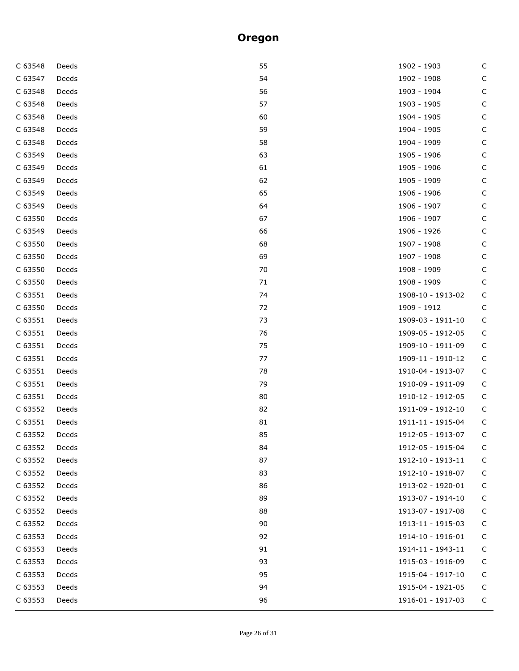| C 63548 | Deeds | 55 | 1902 - 1903       | $\mathsf C$  |
|---------|-------|----|-------------------|--------------|
| C 63547 | Deeds | 54 | 1902 - 1908       | $\mathsf C$  |
| C 63548 | Deeds | 56 | 1903 - 1904       | С            |
| C 63548 | Deeds | 57 | 1903 - 1905       | С            |
| C 63548 | Deeds | 60 | 1904 - 1905       | С            |
| C 63548 | Deeds | 59 | 1904 - 1905       | $\mathsf{C}$ |
| C 63548 | Deeds | 58 | 1904 - 1909       | С            |
| C 63549 | Deeds | 63 | 1905 - 1906       | С            |
| C 63549 | Deeds | 61 | 1905 - 1906       | С            |
| C 63549 | Deeds | 62 | 1905 - 1909       | $\mathsf C$  |
| C 63549 | Deeds | 65 | 1906 - 1906       | С            |
| C 63549 | Deeds | 64 | 1906 - 1907       | $\mathsf C$  |
| C 63550 | Deeds | 67 | 1906 - 1907       | $\mathsf C$  |
| C 63549 | Deeds | 66 | 1906 - 1926       | $\mathsf C$  |
| C 63550 | Deeds | 68 | 1907 - 1908       | С            |
| C 63550 | Deeds | 69 | 1907 - 1908       | $\mathsf C$  |
| C 63550 | Deeds | 70 | 1908 - 1909       | С            |
| C 63550 | Deeds | 71 | 1908 - 1909       | $\mathsf C$  |
| C 63551 | Deeds | 74 | 1908-10 - 1913-02 | С            |
| C 63550 | Deeds | 72 | 1909 - 1912       | C            |
| C 63551 | Deeds | 73 | 1909-03 - 1911-10 | $\mathsf C$  |
| C 63551 | Deeds | 76 | 1909-05 - 1912-05 | $\mathsf C$  |
| C 63551 | Deeds | 75 | 1909-10 - 1911-09 | $\mathsf C$  |
| C 63551 | Deeds | 77 | 1909-11 - 1910-12 | $\mathsf C$  |
| C 63551 | Deeds | 78 | 1910-04 - 1913-07 | $\mathsf C$  |
| C 63551 | Deeds | 79 | 1910-09 - 1911-09 | $\mathsf C$  |
| C 63551 | Deeds | 80 | 1910-12 - 1912-05 | С            |
| C 63552 | Deeds | 82 | 1911-09 - 1912-10 | $\mathsf C$  |
| C 63551 | Deeds | 81 | 1911-11 - 1915-04 | $\mathsf C$  |
| C 63552 | Deeds | 85 | 1912-05 - 1913-07 | C            |
| C 63552 | Deeds | 84 | 1912-05 - 1915-04 | C            |
| C 63552 | Deeds | 87 | 1912-10 - 1913-11 | C            |
| C 63552 | Deeds | 83 | 1912-10 - 1918-07 | С            |
| C 63552 | Deeds | 86 | 1913-02 - 1920-01 | С            |
| C 63552 | Deeds | 89 | 1913-07 - 1914-10 | C            |
| C 63552 | Deeds | 88 | 1913-07 - 1917-08 | С            |
| C 63552 | Deeds | 90 | 1913-11 - 1915-03 | С            |
| C 63553 | Deeds | 92 | 1914-10 - 1916-01 | C            |
| C 63553 | Deeds | 91 | 1914-11 - 1943-11 | C            |
| C 63553 | Deeds | 93 | 1915-03 - 1916-09 | С            |
| C 63553 | Deeds | 95 | 1915-04 - 1917-10 | C            |
| C 63553 | Deeds | 94 | 1915-04 - 1921-05 | C            |
| C 63553 | Deeds | 96 | 1916-01 - 1917-03 | C            |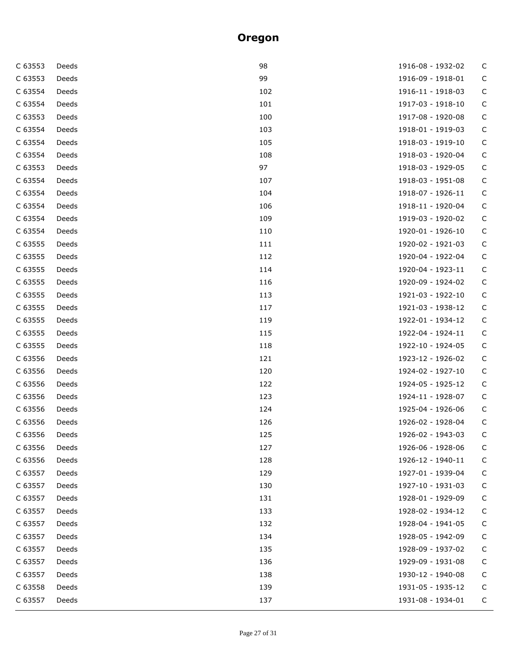| C 63553 | Deeds | 98  | 1916-08 - 1932-02 | C           |
|---------|-------|-----|-------------------|-------------|
| C 63553 | Deeds | 99  | 1916-09 - 1918-01 | C           |
| C 63554 | Deeds | 102 | 1916-11 - 1918-03 | $\mathsf C$ |
| C 63554 | Deeds | 101 | 1917-03 - 1918-10 | $\mathsf C$ |
| C 63553 | Deeds | 100 | 1917-08 - 1920-08 | $\mathsf C$ |
| C 63554 | Deeds | 103 | 1918-01 - 1919-03 | $\mathsf C$ |
| C 63554 | Deeds | 105 | 1918-03 - 1919-10 | $\mathsf C$ |
| C 63554 | Deeds | 108 | 1918-03 - 1920-04 | $\mathsf C$ |
| C 63553 | Deeds | 97  | 1918-03 - 1929-05 | $\mathsf C$ |
| C 63554 | Deeds | 107 | 1918-03 - 1951-08 | $\mathsf C$ |
| C 63554 | Deeds | 104 | 1918-07 - 1926-11 | $\mathsf C$ |
| C 63554 | Deeds | 106 | 1918-11 - 1920-04 | $\mathsf C$ |
| C 63554 | Deeds | 109 | 1919-03 - 1920-02 | $\mathsf C$ |
| C 63554 | Deeds | 110 | 1920-01 - 1926-10 | $\mathsf C$ |
| C 63555 | Deeds | 111 | 1920-02 - 1921-03 | $\mathsf C$ |
| C 63555 | Deeds | 112 | 1920-04 - 1922-04 | $\mathsf C$ |
| C 63555 | Deeds | 114 | 1920-04 - 1923-11 | $\mathsf C$ |
| C 63555 | Deeds | 116 | 1920-09 - 1924-02 | $\mathsf C$ |
| C 63555 | Deeds | 113 | 1921-03 - 1922-10 | $\mathsf C$ |
| C 63555 | Deeds | 117 | 1921-03 - 1938-12 | $\mathsf C$ |
| C 63555 | Deeds | 119 | 1922-01 - 1934-12 | $\mathsf C$ |
| C 63555 | Deeds | 115 | 1922-04 - 1924-11 | $\mathsf C$ |
| C 63555 | Deeds | 118 | 1922-10 - 1924-05 | $\mathsf C$ |
| C 63556 | Deeds | 121 | 1923-12 - 1926-02 | $\mathsf C$ |
| C 63556 | Deeds | 120 | 1924-02 - 1927-10 | $\mathsf C$ |
| C 63556 | Deeds | 122 | 1924-05 - 1925-12 | $\mathsf C$ |
| C 63556 | Deeds | 123 | 1924-11 - 1928-07 | $\mathsf C$ |
| C 63556 | Deeds | 124 | 1925-04 - 1926-06 | $\mathsf C$ |
| C 63556 | Deeds | 126 | 1926-02 - 1928-04 | $\mathsf C$ |
| C 63556 | Deeds | 125 | 1926-02 - 1943-03 | $\mathsf C$ |
| C 63556 | Deeds | 127 | 1926-06 - 1928-06 | C           |
| C 63556 | Deeds | 128 | 1926-12 - 1940-11 | C           |
| C 63557 | Deeds | 129 | 1927-01 - 1939-04 | С           |
| C 63557 | Deeds | 130 | 1927-10 - 1931-03 | С           |
| C 63557 | Deeds | 131 | 1928-01 - 1929-09 | С           |
| C 63557 | Deeds | 133 | 1928-02 - 1934-12 | C           |
| C 63557 | Deeds | 132 | 1928-04 - 1941-05 | C           |
| C 63557 | Deeds | 134 | 1928-05 - 1942-09 | C           |
| C 63557 | Deeds | 135 | 1928-09 - 1937-02 | C           |
| C 63557 | Deeds | 136 | 1929-09 - 1931-08 | C           |
| C 63557 | Deeds | 138 | 1930-12 - 1940-08 | C           |
| C 63558 | Deeds | 139 | 1931-05 - 1935-12 | C           |
| C 63557 | Deeds | 137 | 1931-08 - 1934-01 | C           |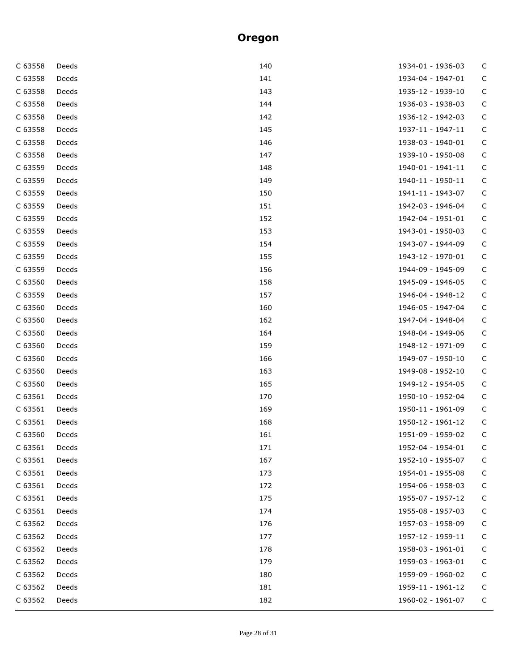| C 63558 | Deeds | 140 | 1934-01 - 1936-03 | C           |
|---------|-------|-----|-------------------|-------------|
| C 63558 | Deeds | 141 | 1934-04 - 1947-01 | C           |
| C 63558 | Deeds | 143 | 1935-12 - 1939-10 | $\mathsf C$ |
| C 63558 | Deeds | 144 | 1936-03 - 1938-03 | $\mathsf C$ |
| C 63558 | Deeds | 142 | 1936-12 - 1942-03 | $\mathsf C$ |
| C 63558 | Deeds | 145 | 1937-11 - 1947-11 | $\mathsf C$ |
| C 63558 | Deeds | 146 | 1938-03 - 1940-01 | $\mathsf C$ |
| C 63558 | Deeds | 147 | 1939-10 - 1950-08 | $\mathsf C$ |
| C 63559 | Deeds | 148 | 1940-01 - 1941-11 | $\mathsf C$ |
| C 63559 | Deeds | 149 | 1940-11 - 1950-11 | $\mathsf C$ |
| C 63559 | Deeds | 150 | 1941-11 - 1943-07 | $\mathsf C$ |
| C 63559 | Deeds | 151 | 1942-03 - 1946-04 | $\mathsf C$ |
| C 63559 | Deeds | 152 | 1942-04 - 1951-01 | $\mathsf C$ |
| C 63559 | Deeds | 153 | 1943-01 - 1950-03 | $\mathsf C$ |
| C 63559 | Deeds | 154 | 1943-07 - 1944-09 | $\mathsf C$ |
| C 63559 | Deeds | 155 | 1943-12 - 1970-01 | $\mathsf C$ |
| C 63559 | Deeds | 156 | 1944-09 - 1945-09 | $\mathsf C$ |
| C 63560 | Deeds | 158 | 1945-09 - 1946-05 | $\mathsf C$ |
| C 63559 | Deeds | 157 | 1946-04 - 1948-12 | $\mathsf C$ |
| C 63560 | Deeds | 160 | 1946-05 - 1947-04 | $\mathsf C$ |
| C 63560 | Deeds | 162 | 1947-04 - 1948-04 | $\mathsf C$ |
| C 63560 | Deeds | 164 | 1948-04 - 1949-06 | $\mathsf C$ |
| C 63560 | Deeds | 159 | 1948-12 - 1971-09 | $\mathsf C$ |
| C 63560 | Deeds | 166 | 1949-07 - 1950-10 | $\mathsf C$ |
| C 63560 | Deeds | 163 | 1949-08 - 1952-10 | $\mathsf C$ |
| C 63560 | Deeds | 165 | 1949-12 - 1954-05 | $\mathsf C$ |
| C 63561 | Deeds | 170 | 1950-10 - 1952-04 | $\mathsf C$ |
| C 63561 | Deeds | 169 | 1950-11 - 1961-09 | $\mathsf C$ |
| C 63561 | Deeds | 168 | 1950-12 - 1961-12 | $\mathsf C$ |
| C 63560 | Deeds | 161 | 1951-09 - 1959-02 | C           |
| C 63561 | Deeds | 171 | 1952-04 - 1954-01 | C           |
| C 63561 | Deeds | 167 | 1952-10 - 1955-07 | C           |
| C 63561 | Deeds | 173 | 1954-01 - 1955-08 | С           |
| C 63561 | Deeds | 172 | 1954-06 - 1958-03 | C           |
| C 63561 | Deeds | 175 | 1955-07 - 1957-12 | С           |
| C 63561 | Deeds | 174 | 1955-08 - 1957-03 | C           |
| C 63562 | Deeds | 176 | 1957-03 - 1958-09 | C           |
| C 63562 | Deeds | 177 | 1957-12 - 1959-11 | C           |
| C 63562 | Deeds | 178 | 1958-03 - 1961-01 | C           |
| C 63562 | Deeds | 179 | 1959-03 - 1963-01 | C           |
| C 63562 | Deeds | 180 | 1959-09 - 1960-02 | C           |
| C 63562 | Deeds | 181 | 1959-11 - 1961-12 | C           |
| C 63562 | Deeds | 182 | 1960-02 - 1961-07 | C           |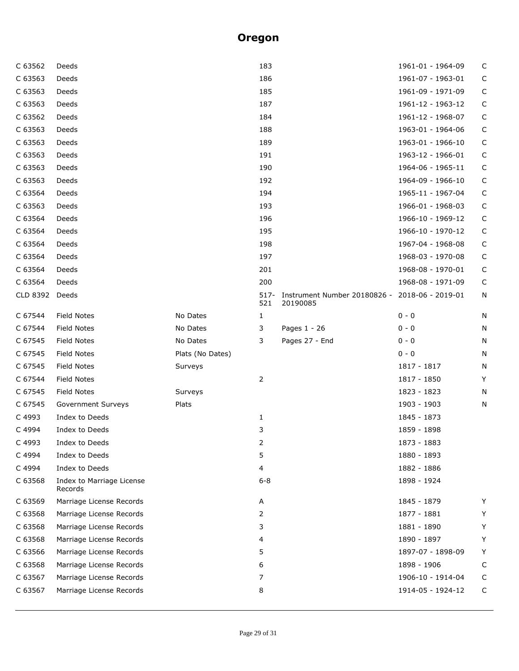| C 63562  | Deeds                                |                  | 183            |                                                            | 1961-01 - 1964-09 | C           |
|----------|--------------------------------------|------------------|----------------|------------------------------------------------------------|-------------------|-------------|
| C 63563  | Deeds                                |                  | 186            |                                                            | 1961-07 - 1963-01 | $\mathsf C$ |
| C 63563  | Deeds                                |                  | 185            |                                                            | 1961-09 - 1971-09 | С           |
| C 63563  | Deeds                                |                  | 187            |                                                            | 1961-12 - 1963-12 | С           |
| C 63562  | Deeds                                |                  | 184            |                                                            | 1961-12 - 1968-07 | $\mathsf C$ |
| C 63563  | Deeds                                |                  | 188            |                                                            | 1963-01 - 1964-06 | C           |
| C 63563  | Deeds                                |                  | 189            |                                                            | 1963-01 - 1966-10 | С           |
| C 63563  | Deeds                                |                  | 191            |                                                            | 1963-12 - 1966-01 | С           |
| C 63563  | Deeds                                |                  | 190            |                                                            | 1964-06 - 1965-11 | $\mathsf C$ |
| C 63563  | Deeds                                |                  | 192            |                                                            | 1964-09 - 1966-10 | С           |
| C 63564  | Deeds                                |                  | 194            |                                                            | 1965-11 - 1967-04 | С           |
| C 63563  | Deeds                                |                  | 193            |                                                            | 1966-01 - 1968-03 | С           |
| C 63564  | Deeds                                |                  | 196            |                                                            | 1966-10 - 1969-12 | С           |
| C 63564  | Deeds                                |                  | 195            |                                                            | 1966-10 - 1970-12 | С           |
| C 63564  | Deeds                                |                  | 198            |                                                            | 1967-04 - 1968-08 | С           |
| C 63564  | Deeds                                |                  | 197            |                                                            | 1968-03 - 1970-08 | С           |
| C 63564  | Deeds                                |                  | 201            |                                                            | 1968-08 - 1970-01 | С           |
| C 63564  | Deeds                                |                  | 200            |                                                            | 1968-08 - 1971-09 | $\mathsf C$ |
| CLD 8392 | Deeds                                |                  | $517 -$<br>521 | Instrument Number 20180826 - 2018-06 - 2019-01<br>20190085 |                   | N           |
| C 67544  | <b>Field Notes</b>                   | No Dates         | $\mathbf{1}$   |                                                            | $0 - 0$           | N           |
| C 67544  | <b>Field Notes</b>                   | No Dates         | 3              | Pages 1 - 26                                               | $0 - 0$           | N           |
| C 67545  | <b>Field Notes</b>                   | No Dates         | 3              | Pages 27 - End                                             | $0 - 0$           | N           |
| C 67545  | Field Notes                          | Plats (No Dates) |                |                                                            | $0 - 0$           | N           |
| C 67545  | <b>Field Notes</b>                   | Surveys          |                |                                                            | 1817 - 1817       | N           |
| C 67544  | <b>Field Notes</b>                   |                  | 2              |                                                            | 1817 - 1850       | Y           |
| C 67545  | <b>Field Notes</b>                   | Surveys          |                |                                                            | 1823 - 1823       | N           |
| C 67545  | Government Surveys                   | Plats            |                |                                                            | 1903 - 1903       | N           |
| C 4993   | Index to Deeds                       |                  | $\mathbf{1}$   |                                                            | 1845 - 1873       |             |
| C 4994   | Index to Deeds                       |                  | 3              |                                                            | 1859 - 1898       |             |
| C 4993   | Index to Deeds                       |                  | 2              |                                                            | 1873 - 1883       |             |
| C 4994   | Index to Deeds                       |                  | 5              |                                                            | 1880 - 1893       |             |
| C 4994   | Index to Deeds                       |                  | 4              |                                                            | 1882 - 1886       |             |
| C 63568  | Index to Marriage License<br>Records |                  | $6 - 8$        |                                                            | 1898 - 1924       |             |
| C 63569  | Marriage License Records             |                  | A              |                                                            | 1845 - 1879       | Y           |
| C 63568  | Marriage License Records             |                  | 2              |                                                            | 1877 - 1881       | Y           |
| C 63568  | Marriage License Records             |                  | 3              |                                                            | 1881 - 1890       | Y           |
| C 63568  | Marriage License Records             |                  | 4              |                                                            | 1890 - 1897       | Y           |
| C 63566  | Marriage License Records             |                  | 5              |                                                            | 1897-07 - 1898-09 | Y           |
| C 63568  | Marriage License Records             |                  | 6              |                                                            | 1898 - 1906       | C           |
| C 63567  | Marriage License Records             |                  | 7              |                                                            | 1906-10 - 1914-04 | C           |
| C 63567  | Marriage License Records             |                  | 8              |                                                            | 1914-05 - 1924-12 | C           |
|          |                                      |                  |                |                                                            |                   |             |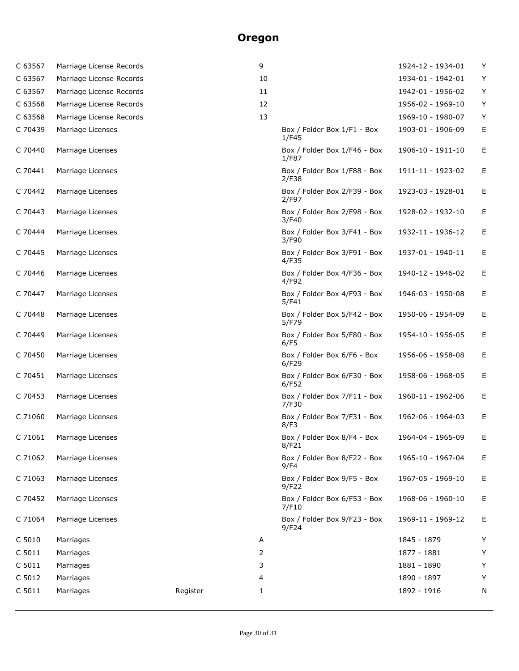| C 63567 | Marriage License Records |          | 9  |                                       | 1924-12 - 1934-01 | Y |
|---------|--------------------------|----------|----|---------------------------------------|-------------------|---|
| C 63567 | Marriage License Records |          | 10 |                                       | 1934-01 - 1942-01 | Y |
| C 63567 | Marriage License Records |          | 11 |                                       | 1942-01 - 1956-02 | Υ |
| C 63568 | Marriage License Records |          | 12 |                                       | 1956-02 - 1969-10 | Y |
| C 63568 | Marriage License Records |          | 13 |                                       | 1969-10 - 1980-07 | Υ |
| C 70439 | Marriage Licenses        |          |    | Box / Folder Box 1/F1 - Box<br>1/F45  | 1903-01 - 1906-09 | Ε |
| C 70440 | Marriage Licenses        |          |    | Box / Folder Box 1/F46 - Box<br>1/F87 | 1906-10 - 1911-10 | Е |
| C 70441 | Marriage Licenses        |          |    | Box / Folder Box 1/F88 - Box<br>2/F38 | 1911-11 - 1923-02 | Е |
| C 70442 | Marriage Licenses        |          |    | Box / Folder Box 2/F39 - Box<br>2/F97 | 1923-03 - 1928-01 | Е |
| C 70443 | Marriage Licenses        |          |    | Box / Folder Box 2/F98 - Box<br>3/F40 | 1928-02 - 1932-10 | Е |
| C 70444 | Marriage Licenses        |          |    | Box / Folder Box 3/F41 - Box<br>3/F90 | 1932-11 - 1936-12 | Е |
| C 70445 | Marriage Licenses        |          |    | Box / Folder Box 3/F91 - Box<br>4/F35 | 1937-01 - 1940-11 | Е |
| C 70446 | Marriage Licenses        |          |    | Box / Folder Box 4/F36 - Box<br>4/F92 | 1940-12 - 1946-02 | Е |
| C 70447 | Marriage Licenses        |          |    | Box / Folder Box 4/F93 - Box<br>5/F41 | 1946-03 - 1950-08 | Е |
| C 70448 | Marriage Licenses        |          |    | Box / Folder Box 5/F42 - Box<br>5/F79 | 1950-06 - 1954-09 | Ε |
| C 70449 | Marriage Licenses        |          |    | Box / Folder Box 5/F80 - Box<br>6/F5  | 1954-10 - 1956-05 | Е |
| C 70450 | Marriage Licenses        |          |    | Box / Folder Box 6/F6 - Box<br>6/F29  | 1956-06 - 1958-08 | Е |
| C 70451 | Marriage Licenses        |          |    | Box / Folder Box 6/F30 - Box<br>6/F52 | 1958-06 - 1968-05 | Е |
| C 70453 | Marriage Licenses        |          |    | Box / Folder Box 7/F11 - Box<br>7/F30 | 1960-11 - 1962-06 | Е |
| C 71060 | Marriage Licenses        |          |    | Box / Folder Box 7/F31 - Box<br>8/F3  | 1962-06 - 1964-03 | Ε |
| C 71061 | Marriage Licenses        |          |    | Box / Folder Box 8/F4 - Box<br>8/F21  | 1964-04 - 1965-09 | Е |
| C 71062 | Marriage Licenses        |          |    | Box / Folder Box 8/F22 - Box<br>9/F4  | 1965-10 - 1967-04 | Е |
| C 71063 | Marriage Licenses        |          |    | Box / Folder Box 9/F5 - Box<br>9/F22  | 1967-05 - 1969-10 | Е |
| C 70452 | Marriage Licenses        |          |    | Box / Folder Box 6/F53 - Box<br>7/F10 | 1968-06 - 1960-10 | Е |
| C 71064 | Marriage Licenses        |          |    | Box / Folder Box 9/F23 - Box<br>9/F24 | 1969-11 - 1969-12 | Е |
| C 5010  | Marriages                |          | Α  |                                       | 1845 - 1879       | Υ |
| C 5011  | Marriages                |          | 2  |                                       | 1877 - 1881       | Υ |
| C 5011  | Marriages                |          | 3  |                                       | 1881 - 1890       | Υ |
| C 5012  | Marriages                |          | 4  |                                       | 1890 - 1897       | Υ |
| C 5011  | Marriages                | Register | 1  |                                       | 1892 - 1916       | N |
|         |                          |          |    |                                       |                   |   |